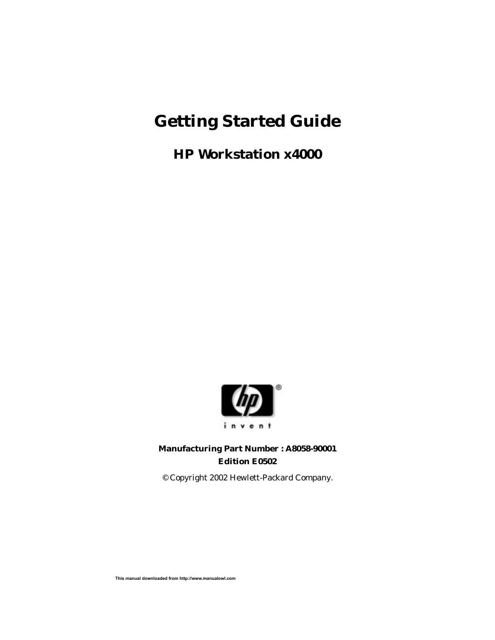# **Getting Started Guide**

**HP Workstation x4000**



**Manufacturing Part Number : A8058-90001 Edition E0502**

© Copyright 2002 Hewlett-Packard Company.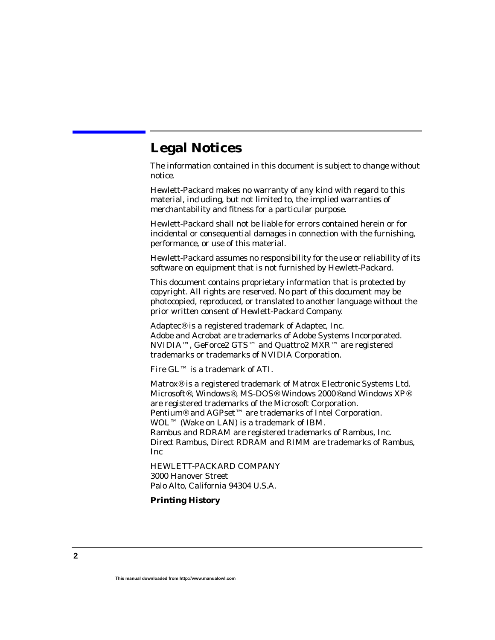# **Legal Notices**

The information contained in this document is subject to change without notice.

Hewlett-Packard makes no warranty of any kind with regard to this material, including, but not limited to, the implied warranties of merchantability and fitness for a particular purpose.

Hewlett-Packard shall not be liable for errors contained herein or for incidental or consequential damages in connection with the furnishing, performance, or use of this material.

Hewlett-Packard assumes no responsibility for the use or reliability of its software on equipment that is not furnished by Hewlett-Packard.

This document contains proprietary information that is protected by copyright. All rights are reserved. No part of this document may be photocopied, reproduced, or translated to another language without the prior written consent of Hewlett-Packard Company.

Adaptec® is a registered trademark of Adaptec, Inc. Adobe and Acrobat are trademarks of Adobe Systems Incorporated. NVIDIA™, GeForce2 GTS™ and Quattro2 MXR™ are registered trademarks or trademarks of NVIDIA Corporation.

Fire GL™ is a trademark of ATI.

Matrox® is a registered trademark of Matrox Electronic Systems Ltd. Microsoft®, Windows®, MS-DOS® Windows 2000®and Windows XP® are registered trademarks of the Microsoft Corporation. Pentium<sup>®</sup> and AGPset<sup>™</sup> are trademarks of Intel Corporation. WOL™ (Wake on LAN) is a trademark of IBM. Rambus and RDRAM are registered trademarks of Rambus, Inc. Direct Rambus, Direct RDRAM and RIMM are trademarks of Rambus, Inc

HEWLETT-PACKARD COMPANY 3000 Hanover Street Palo Alto, California 94304 U.S.A.

#### **Printing History**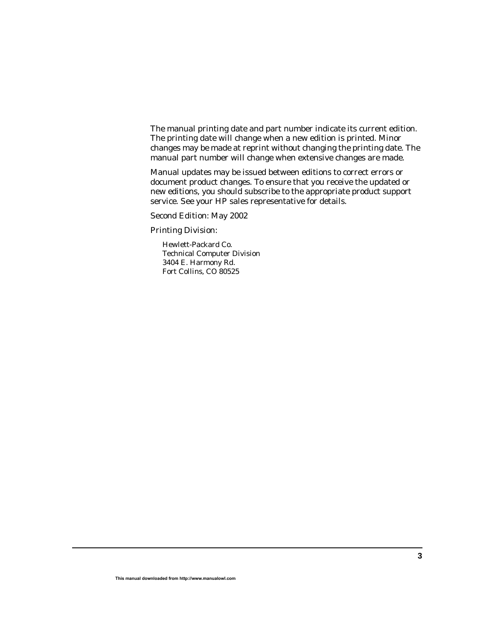The manual printing date and part number indicate its current edition. The printing date will change when a new edition is printed. Minor changes may be made at reprint without changing the printing date. The manual part number will change when extensive changes are made.

Manual updates may be issued between editions to correct errors or document product changes. To ensure that you receive the updated or new editions, you should subscribe to the appropriate product support service. See your HP sales representative for details.

Second Edition: May 2002

Printing Division:

Hewlett-Packard Co. Technical Computer Division 3404 E. Harmony Rd. Fort Collins, CO 80525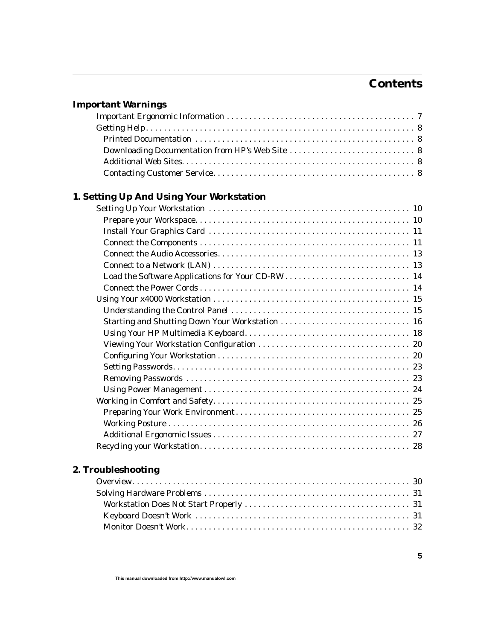# **Contents**

### **[Important Warnings](#page-6-0)**

### **[1. Setting Up And Using Your Workstation](#page-8-0)**

### **[2. Troubleshooting](#page-28-0)**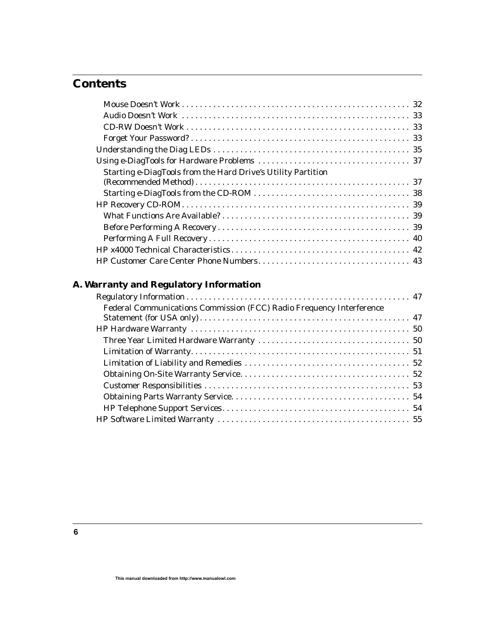# **Contents**

| Starting e-DiagTools from the Hard Drive's Utility Partition |  |
|--------------------------------------------------------------|--|
|                                                              |  |
|                                                              |  |
|                                                              |  |
|                                                              |  |
|                                                              |  |
|                                                              |  |
|                                                              |  |
|                                                              |  |

## **[A. Warranty and Regulatory Information](#page-44-0)**

| Federal Communications Commission (FCC) Radio Frequency Interference |  |
|----------------------------------------------------------------------|--|
|                                                                      |  |
|                                                                      |  |
|                                                                      |  |
|                                                                      |  |
|                                                                      |  |
|                                                                      |  |
|                                                                      |  |
|                                                                      |  |
|                                                                      |  |
|                                                                      |  |
|                                                                      |  |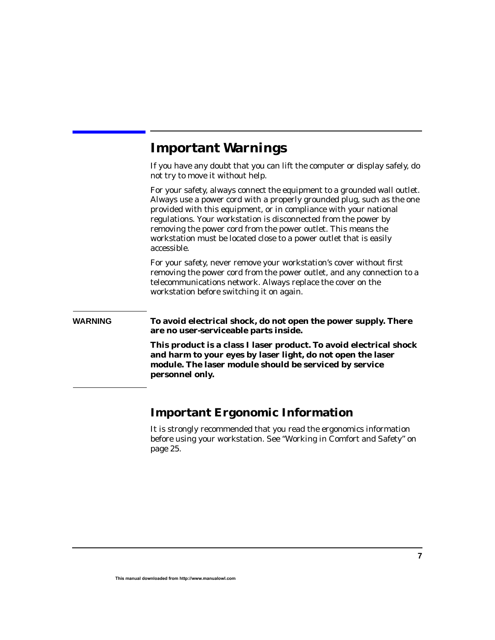# <span id="page-6-0"></span>**Important Warnings**

If you have any doubt that you can lift the computer or display safely, do not try to move it without help.

For your safety, always connect the equipment to a grounded wall outlet. Always use a power cord with a properly grounded plug, such as the one provided with this equipment, or in compliance with your national regulations. Your workstation is disconnected from the power by removing the power cord from the power outlet. This means the workstation must be located close to a power outlet that is easily accessible.

For your safety, never remove your workstation's cover without first removing the power cord from the power outlet, and any connection to a telecommunications network. Always replace the cover on the workstation before switching it on again.

**WARNING To avoid electrical shock, do not open the power supply. There are no user-serviceable parts inside.**

> **This product is a class I laser product. To avoid electrical shock and harm to your eyes by laser light, do not open the laser module. The laser module should be serviced by service personnel only.**

# <span id="page-6-1"></span>**Important Ergonomic Information**

It is strongly recommended that you read the ergonomics information before using your workstation. See ["Working in Comfort and Safety" on](#page-24-0) [page 25.](#page-24-0)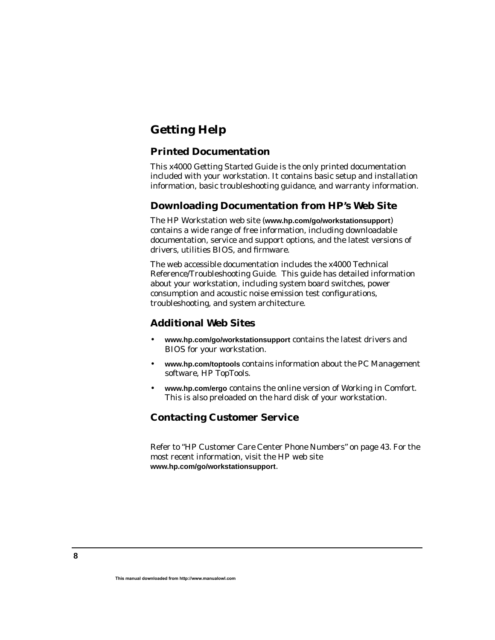# <span id="page-7-0"></span>**Getting Help**

#### <span id="page-7-1"></span>**Printed Documentation**

This x4000 Getting Started Guide is the only printed documentation included with your workstation. It contains basic setup and installation information, basic troubleshooting guidance, and warranty information.

### <span id="page-7-2"></span>**Downloading Documentation from HP's Web Site**

The HP Workstation web site (**www.hp.com/go/workstationsupport**) contains a wide range of free information, including downloadable documentation, service and support options, and the latest versions of drivers, utilities BIOS, and firmware.

The web accessible documentation includes the x4000 Technical Reference/Troubleshooting Guide. This guide has detailed information about your workstation, including system board switches, power consumption and acoustic noise emission test configurations, troubleshooting, and system architecture.

# <span id="page-7-3"></span>**Additional Web Sites**

- **www.hp.com/go/workstationsupport** contains the latest drivers and BIOS for your workstation.
- **www.hp.com/toptools** contains information about the PC Management software, HP TopTools.
- **www.hp.com/ergo** contains the online version of *Working in Comfort*. This is also preloaded on the hard disk of your workstation.

# <span id="page-7-4"></span>**Contacting Customer Service**

Refer to ["HP Customer Care Center Phone Numbers" on page 43.](#page-42-0) For the most recent information, visit the HP web site **www.hp.com/go/workstationsupport**.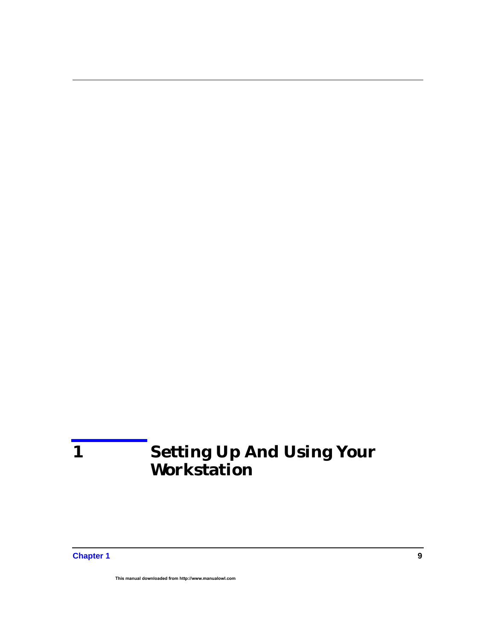# <span id="page-8-0"></span>**1** Setting Up And Using Your **Workstation**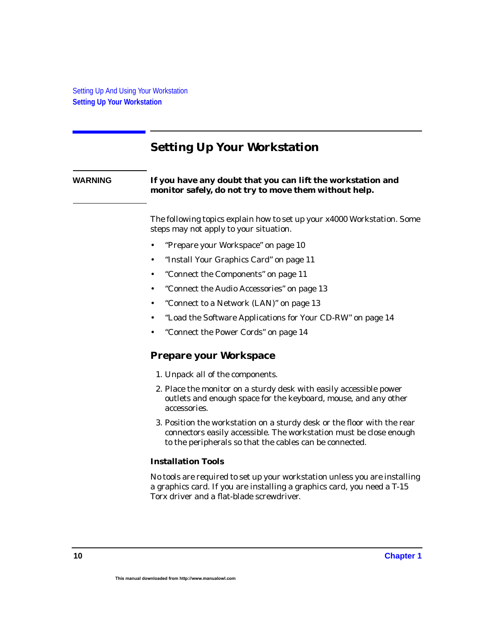<span id="page-9-2"></span><span id="page-9-1"></span><span id="page-9-0"></span>

|                | <b>Setting Up Your Workstation</b>                                                                                                                                                                       |  |  |
|----------------|----------------------------------------------------------------------------------------------------------------------------------------------------------------------------------------------------------|--|--|
| <b>WARNING</b> | If you have any doubt that you can lift the workstation and<br>monitor safely, do not try to move them without help.                                                                                     |  |  |
|                | The following topics explain how to set up your x4000 Workstation. Some<br>steps may not apply to your situation.                                                                                        |  |  |
|                | "Prepare your Workspace" on page 10<br>$\bullet$                                                                                                                                                         |  |  |
|                | "Install Your Graphics Card" on page 11                                                                                                                                                                  |  |  |
|                | "Connect the Components" on page 11                                                                                                                                                                      |  |  |
|                | "Connect the Audio Accessories" on page 13                                                                                                                                                               |  |  |
|                | "Connect to a Network (LAN)" on page 13                                                                                                                                                                  |  |  |
|                | "Load the Software Applications for Your CD-RW" on page 14                                                                                                                                               |  |  |
|                | "Connect the Power Cords" on page 14                                                                                                                                                                     |  |  |
|                | <b>Prepare your Workspace</b>                                                                                                                                                                            |  |  |
|                | 1. Unpack all of the components.                                                                                                                                                                         |  |  |
|                | 2. Place the monitor on a sturdy desk with easily accessible power<br>outlets and enough space for the keyboard, mouse, and any other<br>accessories.                                                    |  |  |
|                | 3. Position the workstation on a sturdy desk or the floor with the rear<br>connectors easily accessible. The workstation must be close enough<br>to the peripherals so that the cables can be connected. |  |  |
|                | <b>Installation Tools</b>                                                                                                                                                                                |  |  |
|                | No tools are required to set up your workstation unless you are installing<br>a graphics card. If you are installing a graphics card, you need a T-15<br>Torx driver and a flat-blade screwdriver.       |  |  |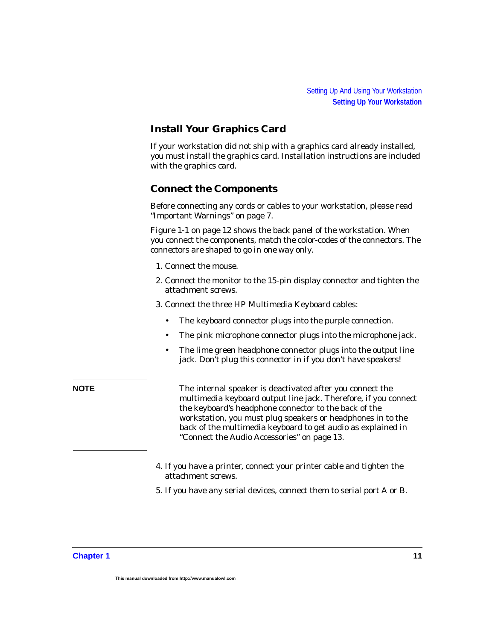# <span id="page-10-3"></span><span id="page-10-0"></span>**Install Your Graphics Card**

If your workstation did not ship with a graphics card already installed, you must install the graphics card. Installation instructions are included with the graphics card.

#### <span id="page-10-2"></span><span id="page-10-1"></span>**Connect the Components**

Before connecting any cords or cables to your workstation, please read ["Important Warnings" on page 7](#page-6-0).

Figure 1-1 on page 12 shows the back panel of the workstation. When you connect the components, match the color-codes of the connectors. *The connectors are shaped to go in one way only*.

- 1. Connect the mouse.
- 2. Connect the monitor to the 15-pin display connector and tighten the attachment screws.
- 3. Connect the three HP Multimedia Keyboard cables:
	- The keyboard connector plugs into the purple connection.
	- The pink microphone connector plugs into the microphone jack.
	- The lime green headphone connector plugs into the output line jack. *Don't plug this connector in if you don't have speakers!*

**NOTE** The internal speaker is deactivated after you connect the multimedia keyboard output line jack. Therefore, if you connect the keyboard's headphone connector to the back of the workstation, you must plug speakers or headphones in to the back of the multimedia keyboard to get audio as explained in ["Connect the Audio Accessories" on page 13.](#page-12-2)

- 4. If you have a printer, connect your printer cable and tighten the attachment screws.
- 5. If you have any serial devices, connect them to serial port A or B.

#### **Chapter 1 11**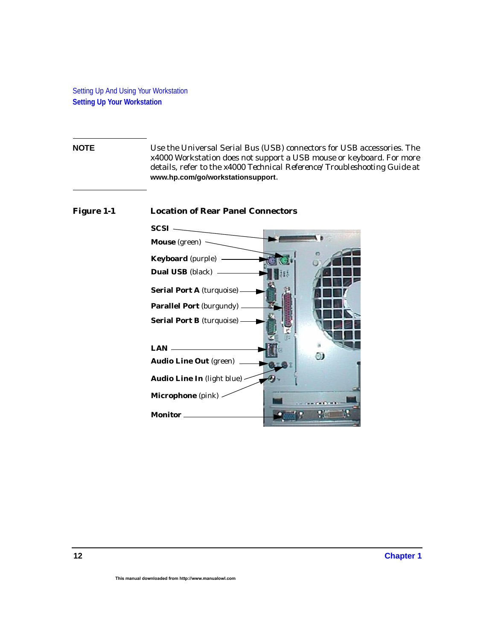Setting Up And Using Your Workstation **Setting Up Your Workstation**

**NOTE** Use the Universal Serial Bus (USB) connectors for USB accessories. The x4000 Workstation does not support a USB mouse or keyboard. For more details, refer to the *x4000 Technical Reference/Troubleshooting Guide* at **www.hp.com/go/workstationsupport**.

# **Figure 1-1 Location of Rear Panel Connectors SCSI Mouse** (green) **Keyboard** (purple) **Dual USB** (black) **Serial Port A** (turquoise) **Parallel Port** (burgundy) **Serial Port B** (turquoise) **LAN** Ō) **Audio Line Out** (green) **Audio Line In** (light blue) **Microphone** (pink) **Monitor**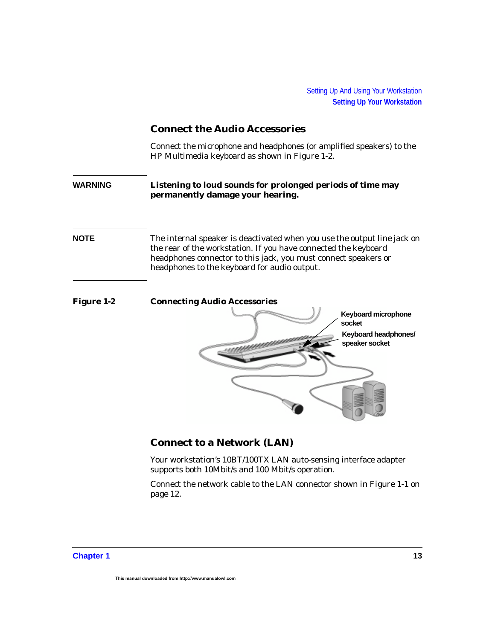#### <span id="page-12-2"></span><span id="page-12-0"></span>**Connect the Audio Accessories**

Connect the microphone and headphones (or amplified speakers) to the HP Multimedia keyboard as shown in Figure 1-2.

#### **WARNING Listening to loud sounds for prolonged periods of time may permanently damage your hearing.**

#### **NOTE** The internal speaker is deactivated when you use the output line jack on the rear of the workstation. If you have connected the keyboard headphones connector to this jack, you must connect speakers or headphones to the keyboard for audio output.



#### <span id="page-12-3"></span><span id="page-12-1"></span>**Connect to a Network (LAN)**

Your workstation's 10BT/100TX LAN auto-sensing interface adapter supports both 10Mbit/s and 100 Mbit/s operation.

Connect the network cable to the LAN connector shown in Figure 1-1 on page 12.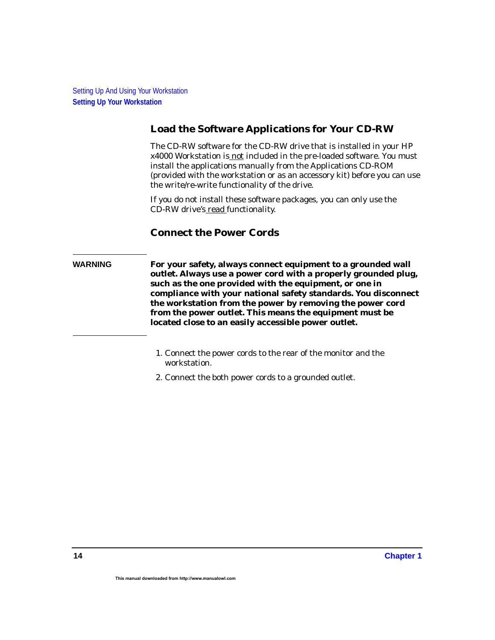# <span id="page-13-2"></span><span id="page-13-0"></span>**Load the Software Applications for Your CD-RW**

The CD-RW software for the CD-RW drive that is installed in your HP x4000 Workstation is not included in the pre-loaded software. You must install the applications manually from the Applications CD-ROM (provided with the workstation or as an accessory kit) before you can use the write/re-write functionality of the drive.

If you do not install these software packages, you can only use the CD-RW drive's read functionality.

### <span id="page-13-3"></span><span id="page-13-1"></span>**Connect the Power Cords**

**WARNING For your safety, always connect equipment to a grounded wall outlet. Always use a power cord with a properly grounded plug, such as the one provided with the equipment, or one in compliance with your national safety standards. You disconnect the workstation from the power by removing the power cord from the power outlet. This means the equipment must be located close to an easily accessible power outlet.**

- 1. Connect the power cords to the rear of the monitor and the workstation.
- 2. Connect the both power cords to a grounded outlet.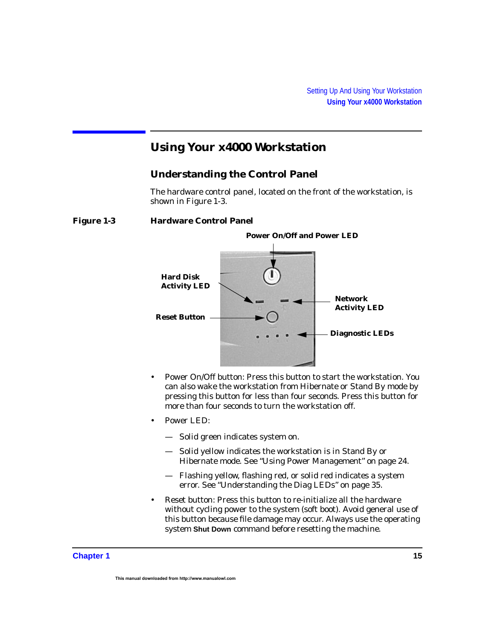# <span id="page-14-0"></span>**Using Your x4000 Workstation**

### <span id="page-14-1"></span>**Understanding the Control Panel**

The hardware control panel, located on the front of the workstation, is shown in Figure 1-3.

#### **Figure 1-3 Hardware Control Panel**



- Power On/Off button: Press this button to start the workstation. You can also wake the workstation from Hibernate or Stand By mode by pressing this button for less than four seconds. Press this button for more than four seconds to turn the workstation off.
- Power LED:
	- Solid green indicates system on.
	- Solid yellow indicates the workstation is in Stand By or Hibernate mode. See ["Using Power Management" on page 24](#page-23-1).
	- Flashing yellow, flashing red, or solid red indicates a system error. See ["Understanding the Diag LEDs" on page 35](#page-34-0).
- Reset button: Press this button to re-initialize all the hardware without cycling power to the system (soft boot). Avoid general use of this button because file damage may occur. Always use the operating system **Shut Down** command before resetting the machine.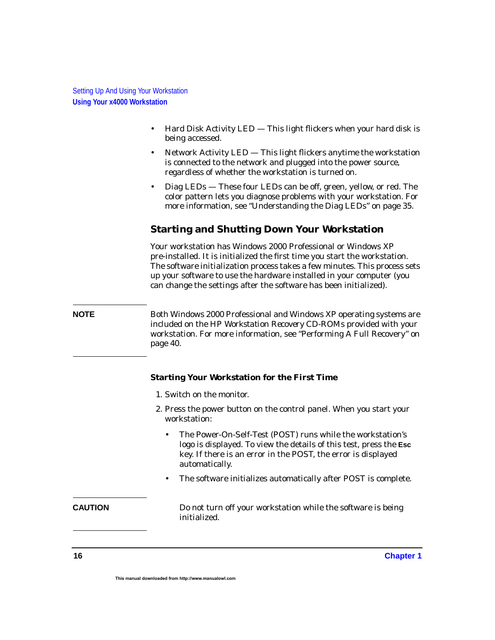- Hard Disk Activity LED This light flickers when your hard disk is being accessed.
- Network Activity LED This light flickers anytime the workstation is connected to the network and plugged into the power source, regardless of whether the workstation is turned on.
- Diag LEDs These four LEDs can be off, green, yellow, or red. The color pattern lets you diagnose problems with your workstation. For more information, see ["Understanding the Diag LEDs" on page 35](#page-34-0).

# <span id="page-15-0"></span>**Starting and Shutting Down Your Workstation**

Your workstation has Windows 2000 Professional or Windows XP pre-installed. It is initialized the first time you start the workstation. The software initialization process takes a few minutes. This process sets up your software to use the hardware installed in your computer (you can change the settings after the software has been initialized).

**NOTE** Both Windows 2000 Professional and Windows XP operating systems are included on the *HP Workstation Recovery CD-ROMs* provided with your workstation. For more information, see ["Performing A Full Recovery" on](#page-39-0) [page 40.](#page-39-0)

#### **Starting Your Workstation for the First Time**

- 1. Switch on the monitor.
- 2. Press the power button on the control panel. When you start your workstation:
	- The Power-On-Self-Test (POST) runs while the workstation's logo is displayed. To view the details of this test, press the **Esc** key. If there is an error in the POST, the error is displayed automatically.
	- The software initializes automatically after POST is complete.

**CAUTION** Do not turn off your workstation while the software is being initialized.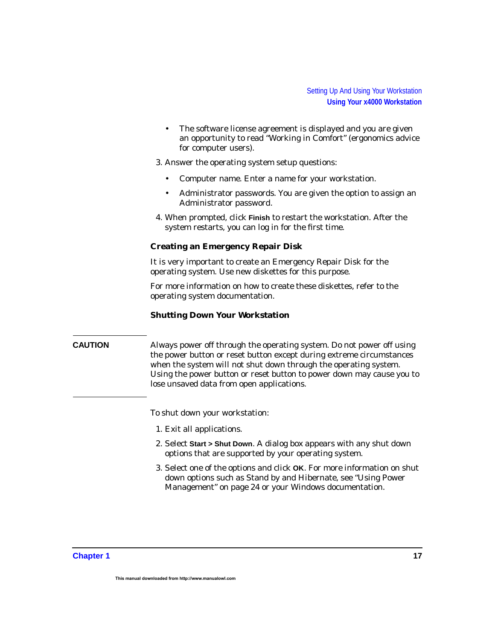- The software license agreement is displayed and you are given an opportunity to read "Working in Comfort" (ergonomics advice for computer users).
- 3. Answer the operating system setup questions:
	- Computer name. Enter a name for your workstation.
	- Administrator passwords. You are given the option to assign an Administrator password.
- 4. When prompted, click **Finish** to restart the workstation. After the system restarts, you can log in for the first time.

#### **Creating an Emergency Repair Disk**

It is very important to create an Emergency Repair Disk for the operating system. Use new diskettes for this purpose.

For more information on how to create these diskettes, refer to the operating system documentation.

#### <span id="page-16-0"></span>**Shutting Down Your Workstation**

**CAUTION** Always power off through the operating system. Do not power off using the power button or reset button except during extreme circumstances when the system will not shut down through the operating system. Using the power button or reset button to power down may cause you to lose unsaved data from open applications.

To shut down your workstation:

- 1. Exit all applications.
- 2. Select **Start > Shut Down**. A dialog box appears with any shut down options that are supported by your operating system.
- 3. Select one of the options and click **OK**. For more information on shut down options such as Stand by and Hibernate, see ["Using Power](#page-23-1) [Management" on page 24](#page-23-1) or your Windows documentation.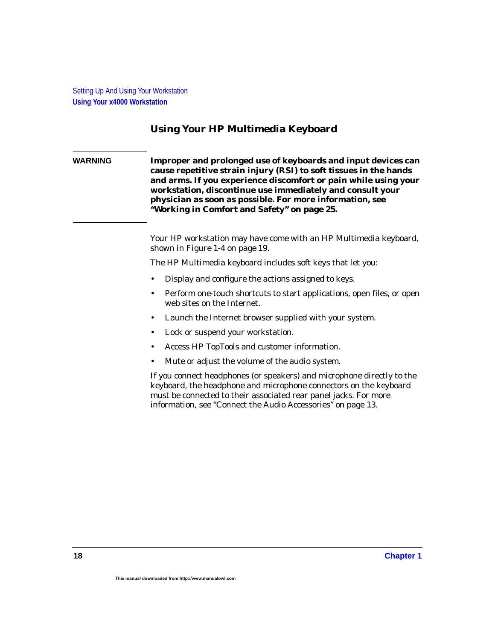## <span id="page-17-0"></span>**Using Your HP Multimedia Keyboard**

**WARNING Improper and prolonged use of keyboards and input devices can cause repetitive strain injury (RSI) to soft tissues in the hands and arms. If you experience discomfort or pain while using your workstation, discontinue use immediately and consult your physician as soon as possible. For more information, see ["Working in Comfort and Safety" on page 25](#page-24-2).**

> Your HP workstation may have come with an HP Multimedia keyboard, shown in Figure 1-4 on page 19.

The HP Multimedia keyboard includes soft keys that let you:

- Display and configure the actions assigned to keys.
- Perform one-touch shortcuts to start applications, open files, or open web sites on the Internet.
- Launch the Internet browser supplied with your system.
- Lock or suspend your workstation.
- Access HP TopTools and customer information.
- Mute or adjust the volume of the audio system.

If you connect headphones (or speakers) and microphone directly to the keyboard, the headphone and microphone connectors on the keyboard must be connected to their associated rear panel jacks. For more information, see ["Connect the Audio Accessories" on page 13.](#page-12-2)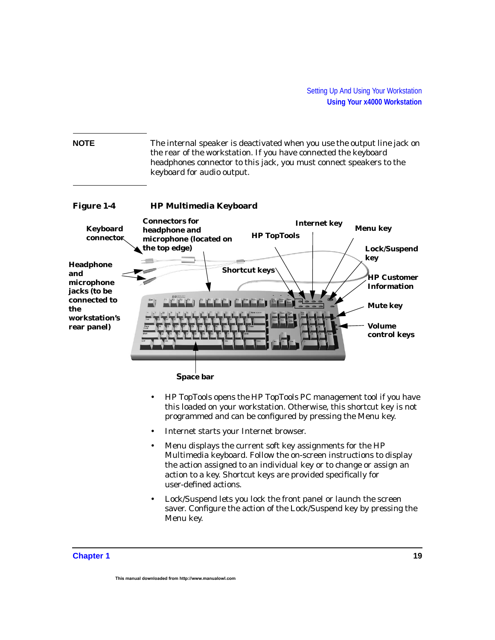**NOTE** The internal speaker is deactivated when you use the output line jack on the rear of the workstation. If you have connected the keyboard headphones connector to this jack, you must connect speakers to the keyboard for audio output.

# **Figure 1-4 HP Multimedia Keyboard**



- HP TopTools opens the HP TopTools PC management tool if you have this loaded on your workstation. Otherwise, this shortcut key is not programmed and can be configured by pressing the Menu key.
- Internet starts your Internet browser.
- Menu displays the current soft key assignments for the HP Multimedia keyboard. Follow the on-screen instructions to display the action assigned to an individual key or to change or assign an action to a key. Shortcut keys are provided specifically for user-defined actions.
- Lock/Suspend lets you lock the front panel or launch the screen saver. Configure the action of the Lock/Suspend key by pressing the Menu key.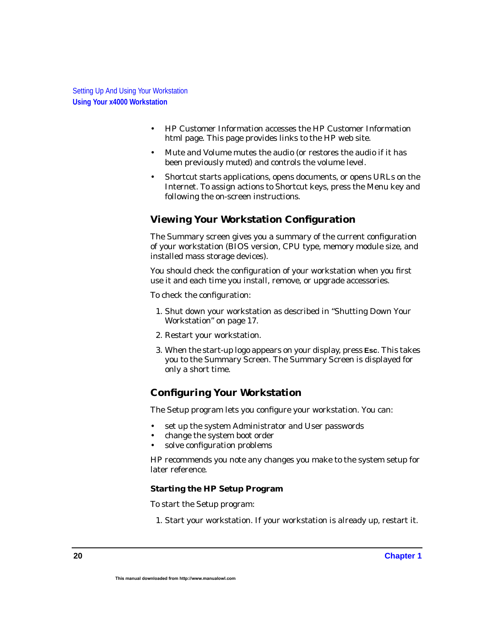- HP Customer Information accesses the HP Customer Information html page. This page provides links to the HP web site.
- Mute and Volume mutes the audio (or restores the audio if it has been previously muted) and controls the volume level.
- Shortcut starts applications, opens documents, or opens URLs on the Internet. To assign actions to Shortcut keys, press the Menu key and following the on-screen instructions.

# <span id="page-19-0"></span>**Viewing Your Workstation Configuration**

The Summary screen gives you a summary of the current configuration of your workstation (BIOS version, CPU type, memory module size, and installed mass storage devices).

You should check the configuration of your workstation when you first use it and each time you install, remove, or upgrade accessories.

To check the configuration:

- 1. Shut down your workstation as described in ["Shutting Down Your](#page-16-0) [Workstation" on page 17.](#page-16-0)
- 2. Restart your workstation.
- 3. When the start-up logo appears on your display, press **Esc**. This takes you to the Summary Screen. The Summary Screen is displayed for only a short time.

# <span id="page-19-1"></span>**Configuring Your Workstation**

The Setup program lets you configure your workstation. You can:

- set up the system Administrator and User passwords
- change the system boot order
- solve configuration problems

HP recommends you note any changes you make to the system setup for later reference.

#### <span id="page-19-2"></span>**Starting the HP Setup Program**

To start the Setup program:

1. Start your workstation. If your workstation is already up, restart it.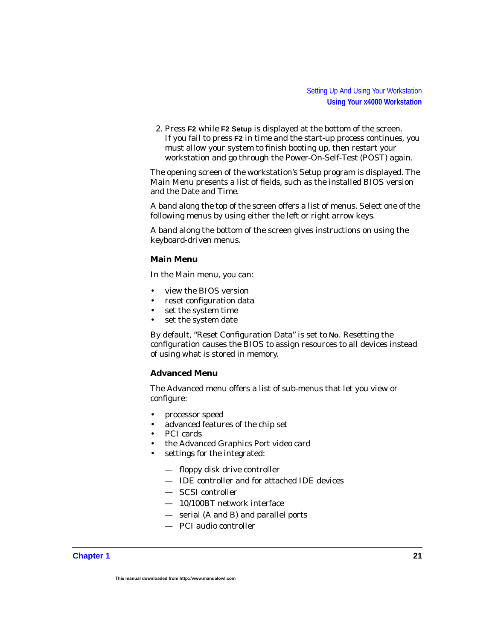2. Press **F2** while **F2 Setup** is displayed at the bottom of the screen. If you fail to press **F2** in time and the start-up process continues, you must allow your system to finish booting up, then restart your workstation and go through the Power-On-Self-Test (POST) again.

The opening screen of the workstation's Setup program is displayed. The Main Menu presents a list of fields, such as the installed BIOS version and the Date and Time.

A band along the top of the screen offers a list of menus. Select one of the following menus by using either the left or right arrow keys.

A band along the bottom of the screen gives instructions on using the keyboard-driven menus.

#### **Main Menu**

In the Main menu, you can:

- view the BIOS version
- reset configuration data
- set the system time
- set the system date

By default, "Reset Configuration Data" is set to **No**. Resetting the configuration causes the BIOS to assign resources to all devices instead of using what is stored in memory.

#### **Advanced Menu**

The Advanced menu offers a list of sub-menus that let you view or configure:

- processor speed
- advanced features of the chip set
- PCI cards
- the Advanced Graphics Port video card
- settings for the integrated:
	- floppy disk drive controller
	- IDE controller and for attached IDE devices
	- SCSI controller
	- 10/100BT network interface
	- serial (A and B) and parallel ports
	- PCI audio controller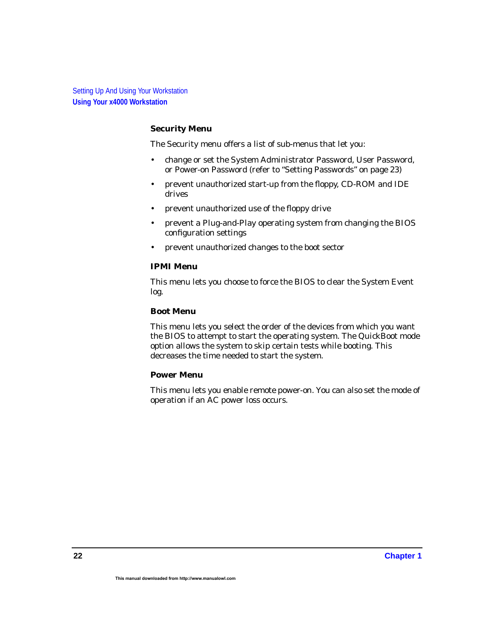#### **Security Menu**

The Security menu offers a list of sub-menus that let you:

- change or set the System Administrator Password, User Password, or Power-on Password (refer to ["Setting Passwords" on page 23\)](#page-22-2)
- prevent unauthorized start-up from the floppy, CD-ROM and IDE drives
- prevent unauthorized use of the floppy drive
- prevent a Plug-and-Play operating system from changing the BIOS configuration settings
- prevent unauthorized changes to the boot sector

#### **IPMI Menu**

This menu lets you choose to force the BIOS to clear the System Event log.

#### **Boot Menu**

This menu lets you select the order of the devices from which you want the BIOS to attempt to start the operating system. The QuickBoot mode option allows the system to skip certain tests while booting. This decreases the time needed to start the system.

#### **Power Menu**

This menu lets you enable remote power-on. You can also set the mode of operation if an AC power loss occurs.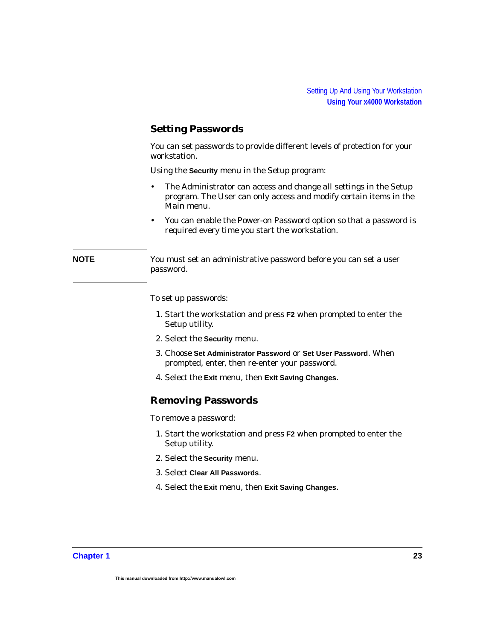# <span id="page-22-2"></span><span id="page-22-0"></span>**Setting Passwords**

You can set passwords to provide different levels of protection for your workstation.

Using the **Security** menu in the Setup program:

- The Administrator can access and change all settings in the Setup program. The User can only access and modify certain items in the Main menu.
- You can enable the Power-on Password option so that a password is required every time you start the workstation.

**NOTE** You must set an administrative password before you can set a user password.

To set up passwords:

- 1. Start the workstation and press **F2** when prompted to enter the Setup utility.
- 2. Select the **Security** menu.
- 3. Choose **Set Administrator Password** or **Set User Password**. When prompted, enter, then re-enter your password.
- 4. Select the **Exit** menu, then **Exit Saving Changes**.

#### <span id="page-22-1"></span>**Removing Passwords**

To remove a password:

- 1. Start the workstation and press **F2** when prompted to enter the Setup utility.
- 2. Select the **Security** menu.
- 3. Select **Clear All Passwords**.
- 4. Select the **Exit** menu, then **Exit Saving Changes**.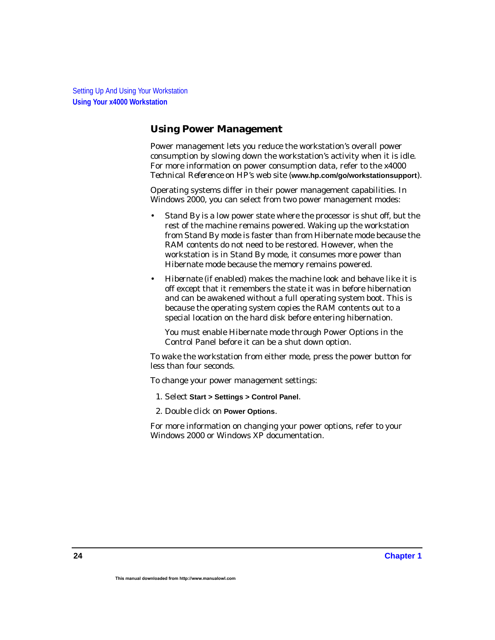# <span id="page-23-1"></span><span id="page-23-0"></span>**Using Power Management**

Power management lets you reduce the workstation's overall power consumption by slowing down the workstation's activity when it is idle. For more information on power consumption data, refer to the *x4000 Technical Reference* on HP's web site (**www.hp.com/go/workstationsupport**).

Operating systems differ in their power management capabilities. In Windows 2000, you can select from two power management modes:

- *Stand By* is a low power state where the processor is shut off, but the rest of the machine remains powered. Waking up the workstation from Stand By mode is faster than from Hibernate mode because the RAM contents do not need to be restored. However, when the workstation is in Stand By mode, it consumes more power than Hibernate mode because the memory remains powered.
- *Hibernate* (if enabled) makes the machine look and behave like it is off except that it remembers the state it was in before hibernation and can be awakened without a full operating system boot. This is because the operating system copies the RAM contents out to a special location on the hard disk before entering hibernation.

You must enable Hibernate mode through Power Options in the Control Panel before it can be a shut down option.

To wake the workstation from either mode, press the power button for less than four seconds.

To change your power management settings:

- 1. Select **Start > Settings > Control Panel**.
- 2. Double click on **Power Options**.

For more information on changing your power options, refer to your Windows 2000 or Windows XP documentation.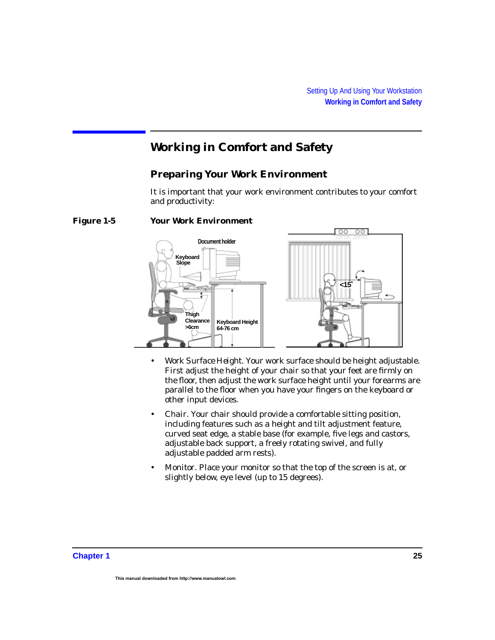# <span id="page-24-0"></span>**Working in Comfort and Safety**

#### <span id="page-24-1"></span>**Preparing Your Work Environment**

It is important that your work environment contributes to your comfort and productivity:

#### <span id="page-24-2"></span>**Figure 1-5 Your Work Environment**



- *Work Surface Height*. Your work surface should be height adjustable. First adjust the height of your chair so that your feet are firmly on the floor, then adjust the work surface height until your forearms are parallel to the floor when you have your fingers on the keyboard or other input devices.
- *Chair*. Your chair should provide a comfortable sitting position, including features such as a height and tilt adjustment feature, curved seat edge, a stable base (for example, five legs and castors, adjustable back support, a freely rotating swivel, and fully adjustable padded arm rests).
- *Monitor*. Place your monitor so that the top of the screen is at, or slightly below, eye level (up to 15 degrees).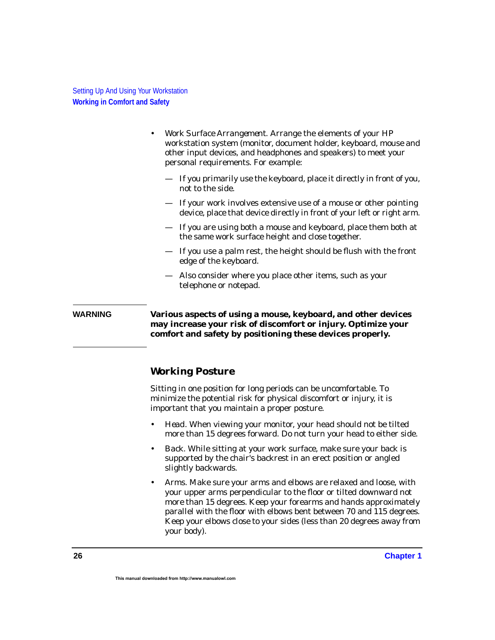|                | Work Surface Arrangement. Arrange the elements of your HP<br>workstation system (monitor, document holder, keyboard, mouse and<br>other input devices, and headphones and speakers) to meet your<br>personal requirements. For example: |
|----------------|-----------------------------------------------------------------------------------------------------------------------------------------------------------------------------------------------------------------------------------------|
|                | - If you primarily use the keyboard, place it directly in front of you,<br>not to the side.                                                                                                                                             |
|                | - If your work involves extensive use of a mouse or other pointing<br>device, place that device directly in front of your left or right arm.                                                                                            |
|                | - If you are using both a mouse and keyboard, place them both at<br>the same work surface height and close together.                                                                                                                    |
|                | - If you use a palm rest, the height should be flush with the front<br>edge of the keyboard.                                                                                                                                            |
|                | - Also consider where you place other items, such as your<br>telephone or notepad.                                                                                                                                                      |
| <b>WARNING</b> | Various aspects of using a mouse, keyboard, and other devices<br>may increase your risk of discomfort or injury. Optimize your<br>comfort and safety by positioning these devices properly.                                             |

#### <span id="page-25-0"></span>**Working Posture**

Sitting in one position for long periods can be uncomfortable. To minimize the potential risk for physical discomfort or injury, it is important that you maintain a proper posture.

- *Head*. When viewing your monitor, your head should not be tilted more than 15 degrees forward. Do not turn your head to either side.
- *Back*. While sitting at your work surface, make sure your back is supported by the chair's backrest in an erect position or angled slightly backwards.
- *Arms*. Make sure your arms and elbows are relaxed and loose, with your upper arms perpendicular to the floor or tilted downward not more than 15 degrees. Keep your forearms and hands approximately parallel with the floor with elbows bent between 70 and 115 degrees. Keep your elbows close to your sides (less than 20 degrees away from your body).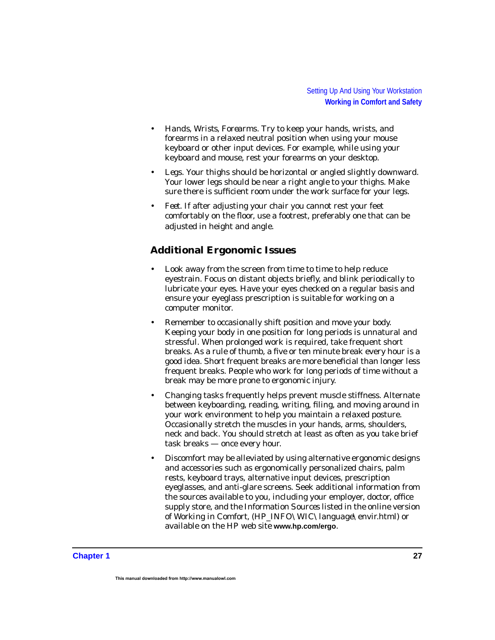- *Hands, Wrists, Forearms*. Try to keep your hands, wrists, and forearms in a relaxed neutral position when using your mouse keyboard or other input devices. For example, while using your keyboard and mouse, rest your forearms on your desktop.
- *Legs*. Your thighs should be horizontal or angled slightly downward. Your lower legs should be near a right angle to your thighs. Make sure there is sufficient room under the work surface for your legs.
- *Feet*. If after adjusting your chair you cannot rest your feet comfortably on the floor, use a footrest, preferably one that can be adjusted in height and angle.

# <span id="page-26-0"></span>**Additional Ergonomic Issues**

- Look away from the screen from time to time to help reduce eyestrain. Focus on distant objects briefly, and blink periodically to lubricate your eyes. Have your eyes checked on a regular basis and ensure your eyeglass prescription is suitable for working on a computer monitor.
- Remember to occasionally shift position and move your body. Keeping your body in one position for long periods is unnatural and stressful. When prolonged work is required, take frequent short breaks. As a rule of thumb, a five or ten minute break every hour is a good idea. Short frequent breaks are more beneficial than longer less frequent breaks. People who work for long periods of time without a break may be more prone to ergonomic injury.
- Changing tasks frequently helps prevent muscle stiffness. Alternate between keyboarding, reading, writing, filing, and moving around in your work environment to help you maintain a relaxed posture. Occasionally stretch the muscles in your hands, arms, shoulders, neck and back. You should stretch at least as often as you take brief task breaks — once every hour.
- Discomfort may be alleviated by using alternative ergonomic designs and accessories such as ergonomically personalized chairs, palm rests, keyboard trays, alternative input devices, prescription eyeglasses, and anti-glare screens. Seek additional information from the sources available to you, including your employer, doctor, office supply store, and the *Information Sources* listed in the online version of *Working in Comfort*, (HP\_INFO\WIC\*language*\envir.html) or available on the HP web site **www.hp.com/ergo**.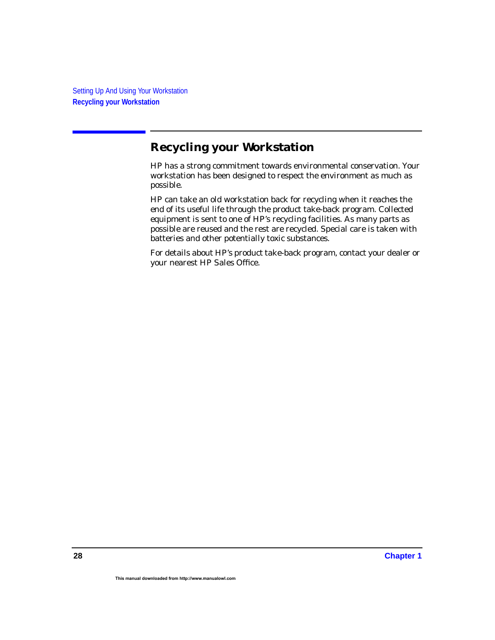# <span id="page-27-0"></span>**Recycling your Workstation**

HP has a strong commitment towards environmental conservation. Your workstation has been designed to respect the environment as much as possible.

HP can take an old workstation back for recycling when it reaches the end of its useful life through the product take-back program. Collected equipment is sent to one of HP's recycling facilities. As many parts as possible are reused and the rest are recycled. Special care is taken with batteries and other potentially toxic substances.

For details about HP's product take-back program, contact your dealer or your nearest HP Sales Office.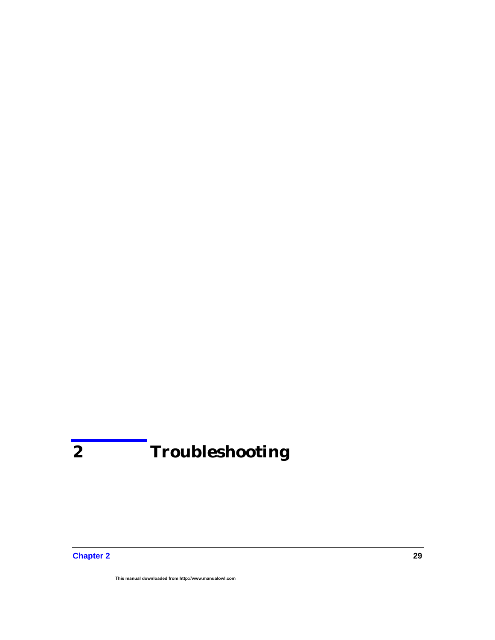# <span id="page-28-0"></span>**2 Troubleshooting**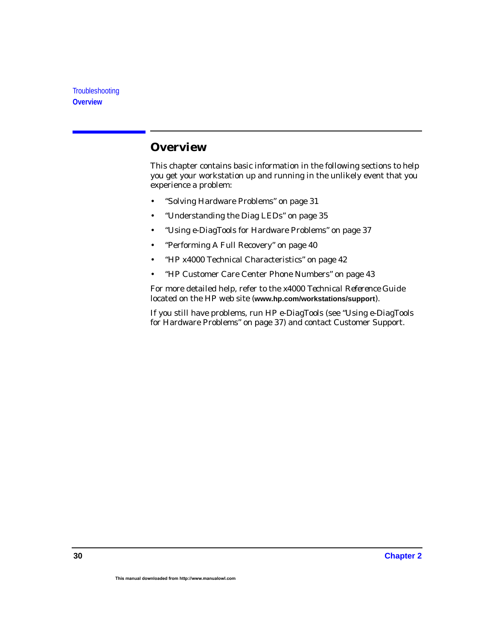# <span id="page-29-0"></span>**Overview**

This chapter contains basic information in the following sections to help you get your workstation up and running in the unlikely event that you experience a problem:

- • ["Solving Hardware Problems" on page 31](#page-30-3)
- • ["Understanding the Diag LEDs" on page 35](#page-34-1)
- • ["Using e-DiagTools for Hardware Problems" on page 37](#page-36-2)
- • ["Performing A Full Recovery" on page 40](#page-39-1)
- • ["HP x4000 Technical Characteristics" on page 42](#page-41-1)
- • ["HP Customer Care Center Phone Numbers" on page 43](#page-42-1)

For more detailed help, refer to the *x4000 Technical Reference Guide* located on the HP web site (**www.hp.com/workstations/support**).

If you still have problems, run HP e-DiagTools (see ["Using e-DiagTools](#page-36-2) [for Hardware Problems" on page 37](#page-36-2)) and contact Customer Support.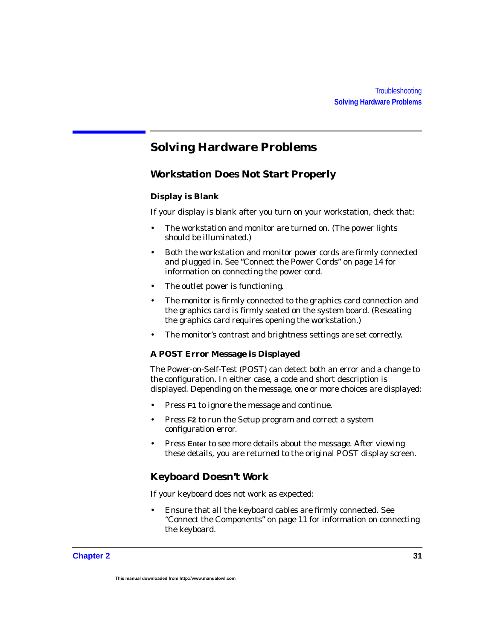# <span id="page-30-3"></span><span id="page-30-0"></span>**Solving Hardware Problems**

# <span id="page-30-1"></span>**Workstation Does Not Start Properly**

#### <span id="page-30-4"></span>**Display is Blank**

If your display is blank after you turn on your workstation, check that:

- The workstation and monitor are turned on. (The power lights should be illuminated.)
- Both the workstation and monitor power cords are firmly connected and plugged in. See ["Connect the Power Cords" on page 14](#page-13-1) for information on connecting the power cord.
- The outlet power is functioning.
- The monitor is firmly connected to the graphics card connection and the graphics card is firmly seated on the system board. (Reseating the graphics card requires opening the workstation.)
- The monitor's contrast and brightness settings are set correctly.

#### **A POST Error Message is Displayed**

The Power-on-Self-Test (POST) can detect both an error and a change to the configuration. In either case, a code and short description is displayed. Depending on the message, one or more choices are displayed:

- Press **F1** to ignore the message and continue.
- Press **F2** to run the Setup program and correct a system configuration error.
- Press **Enter** to see more details about the message. After viewing these details, you are returned to the original POST display screen.

# <span id="page-30-2"></span>**Keyboard Doesn't Work**

If your keyboard does not work as expected:

• Ensure that all the keyboard cables are firmly connected. See ["Connect the Components" on page 11](#page-10-1) for information on connecting the keyboard.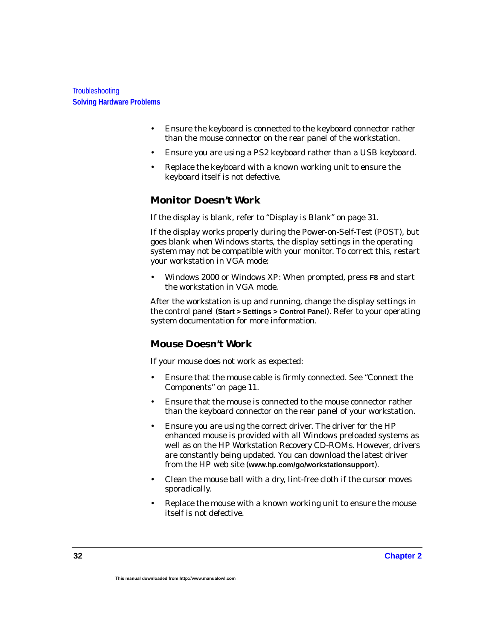- Ensure the keyboard is connected to the keyboard connector rather than the mouse connector on the rear panel of the workstation.
- Ensure you are using a PS2 keyboard rather than a USB keyboard.
- Replace the keyboard with a known working unit to ensure the keyboard itself is not defective.

### <span id="page-31-0"></span>**Monitor Doesn't Work**

If the display is blank, refer to ["Display is Blank" on page 31.](#page-30-4)

If the display works properly during the Power-on-Self-Test (POST), but goes blank when Windows starts, the display settings in the operating system may not be compatible with your monitor. To correct this, restart your workstation in VGA mode:

• Windows 2000 or Windows XP: When prompted, press **F8** and start the workstation in VGA mode.

After the workstation is up and running, change the display settings in the control panel (**Start > Settings > Control Panel**). Refer to your operating system documentation for more information.

# <span id="page-31-1"></span>**Mouse Doesn't Work**

If your mouse does not work as expected:

- Ensure that the mouse cable is firmly connected. See ["Connect the](#page-10-1) [Components" on page 11.](#page-10-1)
- Ensure that the mouse is connected to the mouse connector rather than the keyboard connector on the rear panel of your workstation.
- Ensure you are using the correct driver. The driver for the HP enhanced mouse is provided with all Windows preloaded systems as well as on the *HP Workstation Recovery CD-ROM*s. However, drivers are constantly being updated. You can download the latest driver from the HP web site (**www.hp.com/go/workstationsupport**).
- Clean the mouse ball with a dry, lint-free cloth if the cursor moves sporadically.
- Replace the mouse with a known working unit to ensure the mouse itself is not defective.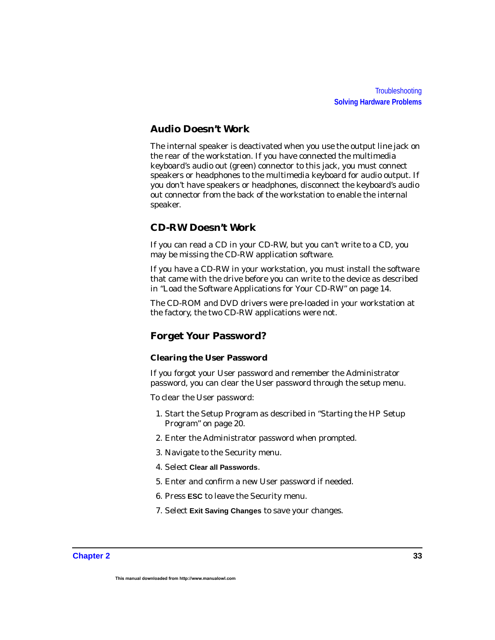### <span id="page-32-0"></span>**Audio Doesn't Work**

The internal speaker is deactivated when you use the output line jack on the rear of the workstation. If you have connected the multimedia keyboard's audio out (green) connector to this jack, you must connect speakers or headphones to the multimedia keyboard for audio output. If you don't have speakers or headphones, disconnect the keyboard's audio out connector from the back of the workstation to enable the internal speaker.

#### <span id="page-32-1"></span>**CD-RW Doesn't Work**

If you can read a CD in your CD-RW, but you can't write to a CD, you may be missing the CD-RW application software.

If you have a CD-RW in your workstation, you must install the software that came with the drive before you can write to the device as described in ["Load the Software Applications for Your CD-RW" on page 14](#page-13-0).

The CD-ROM and DVD drivers were pre-loaded in your workstation at the factory, the two CD-RW applications were not.

#### <span id="page-32-2"></span>**Forget Your Password?**

#### **Clearing the User Password**

If you forgot your User password and remember the Administrator password, you can clear the User password through the setup menu.

To clear the User password:

- 1. Start the Setup Program as described in ["Starting the HP Setup](#page-19-2) [Program" on page 20](#page-19-2).
- 2. Enter the Administrator password when prompted.
- 3. Navigate to the Security menu.
- 4. Select **Clear all Passwords**.
- 5. Enter and confirm a new User password if needed.
- 6. Press **ESC** to leave the Security menu.
- 7. Select **Exit Saving Changes** to save your changes.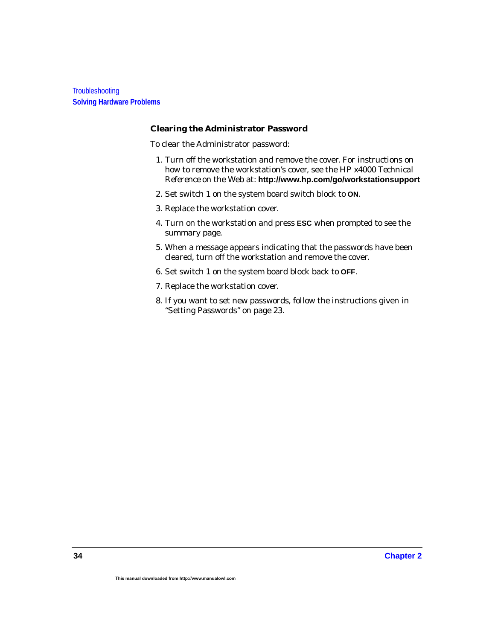#### **Clearing the Administrator Password**

To clear the Administrator password:

- 1. Turn off the workstation and remove the cover. For instructions on how to remove the workstation's cover, see the *HP x4000 Technical Reference* on the Web at: **http://www.hp.com/go/workstationsupport**
- 2. Set switch 1 on the system board switch block to **ON**.
- 3. Replace the workstation cover.
- 4. Turn on the workstation and press **ESC** when prompted to see the summary page.
- 5. When a message appears indicating that the passwords have been cleared, turn off the workstation and remove the cover.
- 6. Set switch 1 on the system board block back to **OFF**.
- 7. Replace the workstation cover.
- 8. If you want to set new passwords, follow the instructions given in ["Setting Passwords" on page 23](#page-22-0).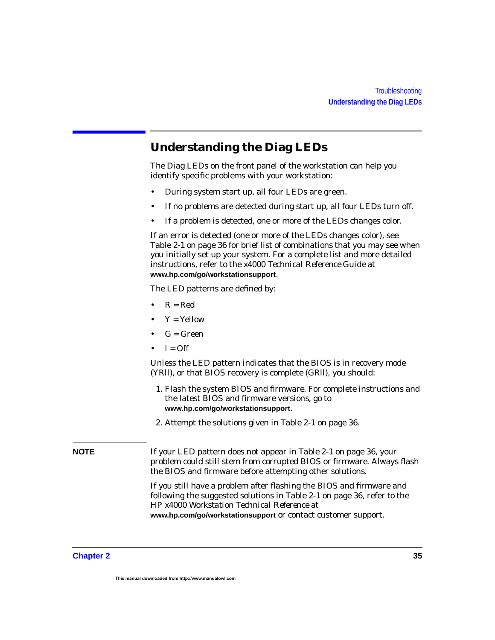# <span id="page-34-1"></span><span id="page-34-0"></span>**Understanding the Diag LEDs**

The Diag LEDs on the front panel of the workstation can help you identify specific problems with your workstation:

- During system start up, all four LEDs are green.
- If no problems are detected during start up, all four LEDs turn off.
- If a problem is detected, one or more of the LEDs changes color.

If an error is detected (one or more of the LEDs changes color), see Table 2-1 on page 36 for brief list of combinations that you may see when you initially set up your system. For a complete list and more detailed instructions, refer to the *x4000 Technical Reference Guide* at **www.hp.com/go/workstationsupport**.

The LED patterns are defined by:

- $R = Red$
- $Y =$  Yellow
- $G = Green$
- $l = \text{Off}$

Unless the LED pattern indicates that the BIOS is in recovery mode (YRll), or that BIOS recovery is complete (GRll), you should:

- 1. Flash the system BIOS and firmware. For complete instructions and the latest BIOS and firmware versions, go to **www.hp.com/go/workstationsupport**.
- 2. Attempt the solutions given in Table 2-1 on page 36.

**NOTE** If your LED pattern does not appear in Table 2-1 on page 36, your problem could still stem from corrupted BIOS or firmware. Always flash the BIOS and firmware before attempting other solutions.

> If you still have a problem after flashing the BIOS and firmware and following the suggested solutions in Table 2-1 on page 36, refer to the *HP x4000 Workstation Technical Reference* at

**www.hp.com/go/workstationsupport** or contact customer support.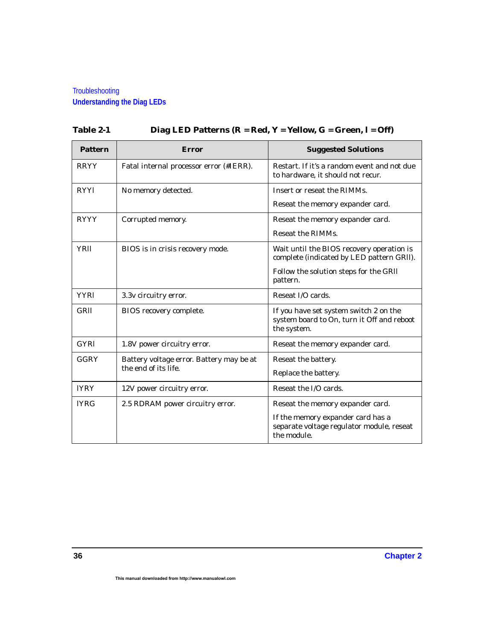| Table 2-1<br>Diag LED Patterns ( $R = Red$ , $Y = Yellow$ , $G = Green$ , $I = Off$ ) |  |
|---------------------------------------------------------------------------------------|--|
|---------------------------------------------------------------------------------------|--|

| <b>Pattern</b> | <b>Error</b>                                                     | <b>Suggested Solutions</b>                                                                          |
|----------------|------------------------------------------------------------------|-----------------------------------------------------------------------------------------------------|
| <b>RRYY</b>    | Fatal internal processor error (#IERR).                          | Restart. If it's a random event and not due<br>to hardware, it should not recur.                    |
| <b>RYY</b>     | No memory detected.                                              | Insert or reseat the RIMMs.                                                                         |
|                |                                                                  | Reseat the memory expander card.                                                                    |
| <b>RYYY</b>    | Corrupted memory.                                                | Reseat the memory expander card.                                                                    |
|                |                                                                  | Reseat the RIMMs.                                                                                   |
| <b>YRII</b>    | BIOS is in crisis recovery mode.                                 | Wait until the BIOS recovery operation is<br>complete (indicated by LED pattern GRII).              |
|                |                                                                  | Follow the solution steps for the GRII<br>pattern.                                                  |
| <b>YYRI</b>    | 3.3v circuitry error.                                            | Reseat I/O cards.                                                                                   |
| <b>GRII</b>    | BIOS recovery complete.                                          | If you have set system switch 2 on the<br>system board to On, turn it Off and reboot<br>the system. |
| <b>GYRI</b>    | 1.8V power circuitry error.                                      | Reseat the memory expander card.                                                                    |
| GGRY           | Battery voltage error. Battery may be at<br>the end of its life. | Reseat the battery.                                                                                 |
|                |                                                                  | Replace the battery.                                                                                |
| <b>IYRY</b>    | 12V power circuitry error.                                       | Reseat the I/O cards.                                                                               |
| <b>IYRG</b>    | 2.5 RDRAM power circuitry error.                                 | Reseat the memory expander card.                                                                    |
|                |                                                                  | If the memory expander card has a<br>separate voltage regulator module, reseat<br>the module.       |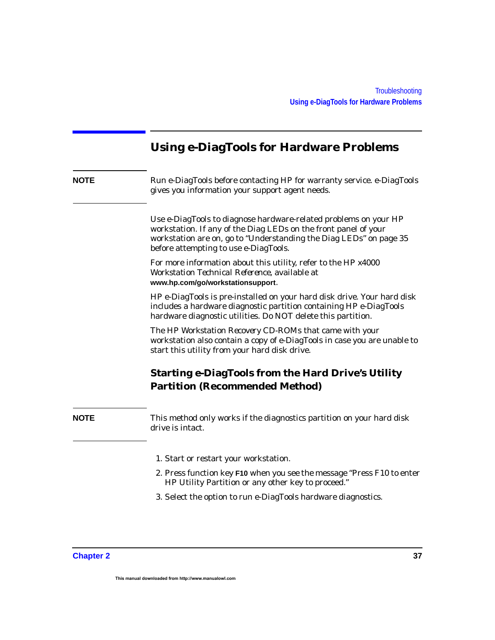<span id="page-36-2"></span><span id="page-36-1"></span><span id="page-36-0"></span>

|             | <b>Using e-DiagTools for Hardware Problems</b>                                                                                                                                                                                                     |  |  |
|-------------|----------------------------------------------------------------------------------------------------------------------------------------------------------------------------------------------------------------------------------------------------|--|--|
| <b>NOTE</b> | Run e-DiagTools before contacting HP for warranty service. e-DiagTools<br>gives you information your support agent needs.                                                                                                                          |  |  |
|             | Use e-DiagTools to diagnose hardware-related problems on your HP<br>workstation. If any of the Diag LEDs on the front panel of your<br>workstation are on, go to "Understanding the Diag LEDs" on page 35<br>before attempting to use e-DiagTools. |  |  |
|             | For more information about this utility, refer to the HP x4000<br>Workstation Technical Reference, available at<br>www.hp.com/go/workstationsupport.                                                                                               |  |  |
|             | HP e-DiagTools is pre-installed on your hard disk drive. Your hard disk<br>includes a hardware diagnostic partition containing HP e-DiagTools<br>hardware diagnostic utilities. Do NOT delete this partition.                                      |  |  |
|             | The HP Workstation Recovery CD-ROMs that came with your<br>workstation also contain a copy of e-DiagTools in case you are unable to<br>start this utility from your hard disk drive.                                                               |  |  |
|             | <b>Starting e-DiagTools from the Hard Drive's Utility</b><br><b>Partition (Recommended Method)</b>                                                                                                                                                 |  |  |
| <b>NOTE</b> | This method only works if the diagnostics partition on your hard disk<br>drive is intact.                                                                                                                                                          |  |  |
|             | 1. Start or restart your workstation.                                                                                                                                                                                                              |  |  |
|             | 2. Press function key F10 when you see the message "Press F10 to enter<br>HP Utility Partition or any other key to proceed."                                                                                                                       |  |  |
|             | 3. Select the option to run e-DiagTools hardware diagnostics.                                                                                                                                                                                      |  |  |
|             |                                                                                                                                                                                                                                                    |  |  |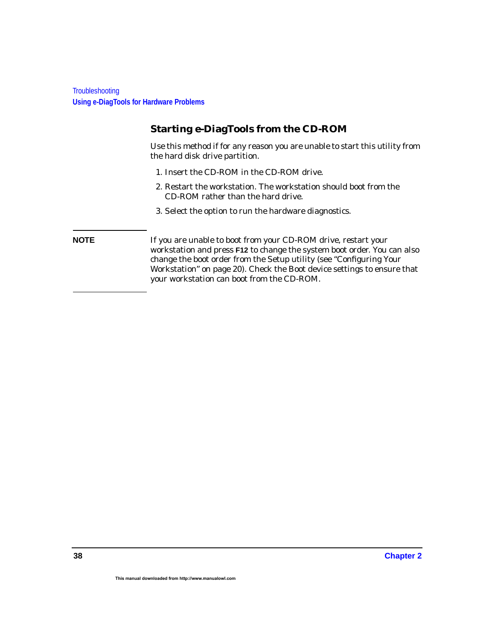# <span id="page-37-0"></span>**Starting e-DiagTools from the CD-ROM**

Use this method if for any reason you are unable to start this utility from the hard disk drive partition.

- 1. Insert the CD-ROM in the CD-ROM drive.
- 2. Restart the workstation. The workstation should boot from the CD-ROM rather than the hard drive.
- 3. Select the option to run the hardware diagnostics.

#### **NOTE** If you are unable to boot from your CD-ROM drive, restart your workstation and press **F12** to change the system boot order. You can also change the boot order from the Setup utility (see ["Configuring Your](#page-19-1) [Workstation" on page 20\)](#page-19-1). Check the Boot device settings to ensure that your workstation can boot from the CD-ROM.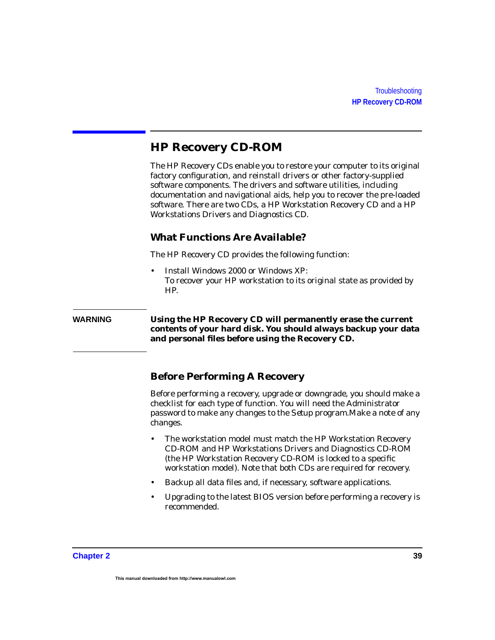# <span id="page-38-0"></span>**HP Recovery CD-ROM**

The HP Recovery CDs enable you to restore your computer to its original factory configuration, and reinstall drivers or other factory-supplied software components. The drivers and software utilities, including documentation and navigational aids, help you to recover the pre-loaded software. There are two CDs, a HP Workstation Recovery CD and a HP Workstations Drivers and Diagnostics CD.

#### <span id="page-38-1"></span>**What Functions Are Available?**

The HP Recovery CD provides the following function:

• Install Windows 2000 or Windows XP: To recover your HP workstation to its original state as provided by HP.

**WARNING Using the HP Recovery CD will permanently erase the current contents of your hard disk. You should always backup your data and personal files before using the Recovery CD.**

#### <span id="page-38-2"></span>**Before Performing A Recovery**

Before performing a recovery, upgrade or downgrade, you should make a checklist for each type of function. You will need the Administrator password to make any changes to the *Setup* program.Make a note of any changes.

- The workstation model must match the HP Workstation Recovery CD-ROM and HP Workstations Drivers and Diagnostics CD-ROM (the HP Workstation Recovery CD-ROM is locked to a specific workstation model). Note that both CDs are required for recovery.
- Backup all data files and, if necessary, software applications.
- Upgrading to the latest BIOS version before performing a recovery is recommended.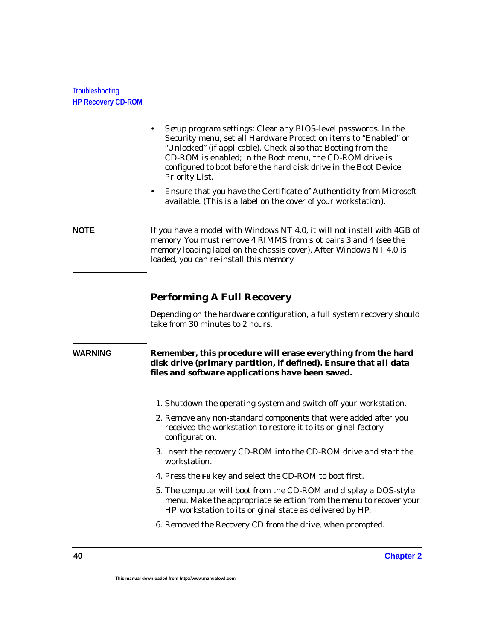• *Setup* program settings: Clear any BIOS-level passwords. In the Security menu, set all Hardware Protection items to "Enabled" or "Unlocked" (if applicable). Check also that Booting from the CD-ROM is enabled; in the Boot menu, the CD-ROM drive is configured to boot before the hard disk drive in the Boot Device Priority List.

• Ensure that you have the Certificate of Authenticity from Microsoft available. (This is a label on the cover of your workstation).

**NOTE** If you have a model with Windows NT 4.0, it will not install with 4GB of memory. You must remove 4 RIMMS from slot pairs 3 and 4 (see the memory loading label on the chassis cover). After Windows NT 4.0 is loaded, you can re-install this memory

### <span id="page-39-1"></span><span id="page-39-0"></span>**Performing A Full Recovery**

Depending on the hardware configuration, a full system recovery should take from 30 minutes to 2 hours.

#### **WARNING Remember, this procedure will erase everything from the hard disk drive (primary partition, if defined). Ensure that** *all* **data files and software applications have been saved.**

- 1. Shutdown the operating system and switch off your workstation.
- 2. Remove any non-standard components that were added after you received the workstation to restore it to its original factory configuration.
- 3. Insert the recovery CD-ROM into the CD-ROM drive and start the workstation.
- 4. Press the **F8** key and select the CD-ROM to boot first.
- 5. The computer will boot from the CD-ROM and display a DOS-style menu. Make the appropriate selection from the menu to recover your HP workstation to its original state as delivered by HP.
- 6. Removed the Recovery CD from the drive, when prompted.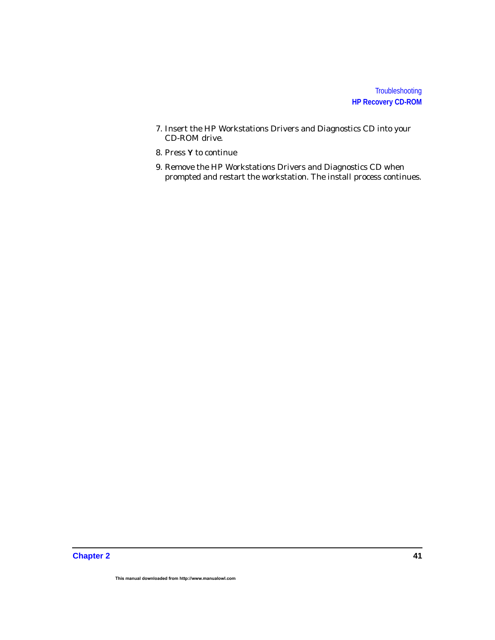- 7. Insert the HP Workstations Drivers and Diagnostics CD into your CD-ROM drive.
- 8. Press **Y** to continue
- 9. Remove the HP Workstations Drivers and Diagnostics CD when prompted and restart the workstation. The install process continues.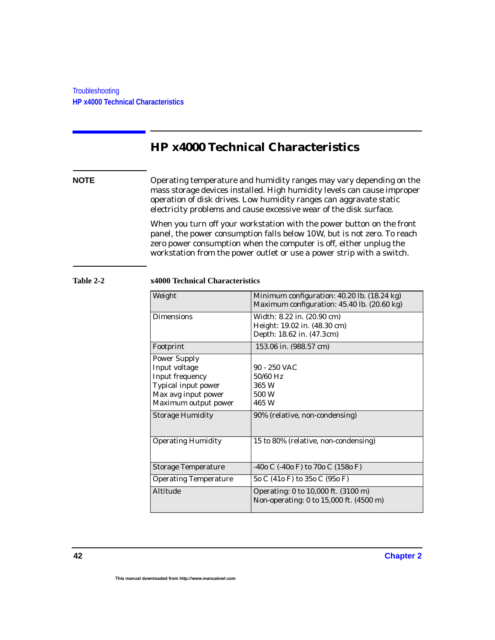# <span id="page-41-0"></span>**HP x4000 Technical Characteristics**

<span id="page-41-1"></span>**NOTE** Operating temperature and humidity ranges may vary depending on the mass storage devices installed. High humidity levels can cause improper operation of disk drives. Low humidity ranges can aggravate static electricity problems and cause excessive wear of the disk surface.

> When you turn off your workstation with the power button on the front panel, the power consumption falls below 10W, but is not zero. To reach zero power consumption when the computer is off, either unplug the workstation from the power outlet or use a power strip with a switch.

# **Table 2-2 x4000 Technical Characteristics**

| Weight                       | Minimum configuration: 40.20 lb. (18.24 kg)<br>Maximum configuration: 45.40 lb. (20.60 kg) |
|------------------------------|--------------------------------------------------------------------------------------------|
| <b>Dimensions</b>            | Width: 8.22 in. (20.90 cm)<br>Height: 19.02 in. (48.30 cm)                                 |
|                              | Depth: 18.62 in. (47.3cm)                                                                  |
| Footprint                    | 153.06 in. (988.57 cm)                                                                     |
| <b>Power Supply</b>          |                                                                                            |
| Input voltage                | 90 - 250 VAC                                                                               |
| <b>Input frequency</b>       | 50/60 Hz                                                                                   |
| Typical input power          | 365 W                                                                                      |
| Max avg input power          | 500 W                                                                                      |
| Maximum output power         | 465 W                                                                                      |
| <b>Storage Humidity</b>      | 90% (relative, non-condensing)                                                             |
| <b>Operating Humidity</b>    | 15 to 80% (relative, non-condensing)                                                       |
| <b>Storage Temperature</b>   | -40o C (-40o F) to 70o C (158o F)                                                          |
| <b>Operating Temperature</b> | 5o C (41o F) to 35o C (95o F)                                                              |
| Altitude                     | Operating: 0 to 10,000 ft. (3100 m)<br>Non-operating: 0 to 15,000 ft. (4500 m)             |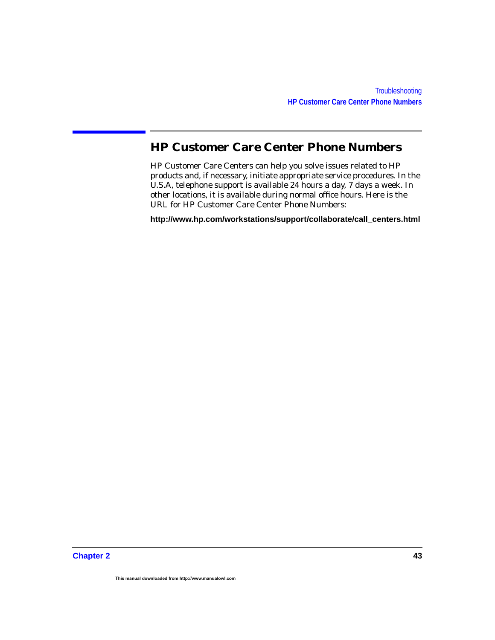# <span id="page-42-1"></span><span id="page-42-0"></span>**HP Customer Care Center Phone Numbers**

HP Customer Care Centers can help you solve issues related to HP products and, if necessary, initiate appropriate service procedures. In the U.S.A, telephone support is available 24 hours a day, 7 days a week. In other locations, it is available during normal office hours. Here is the URL for HP Customer Care Center Phone Numbers:

**http://www.hp.com/workstations/support/collaborate/call\_centers.html**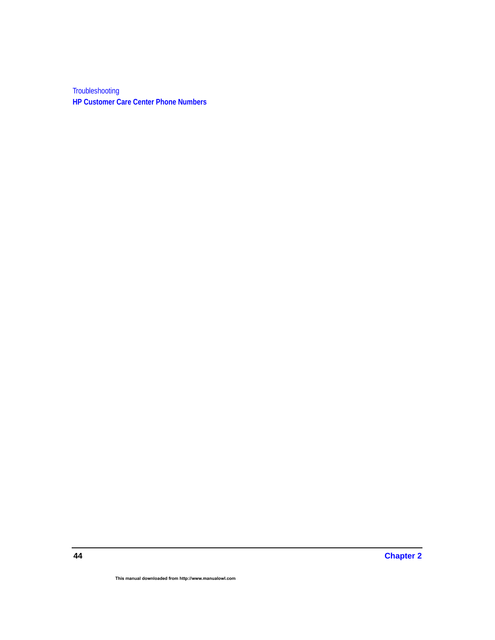**Troubleshooting HP Customer Care Center Phone Numbers**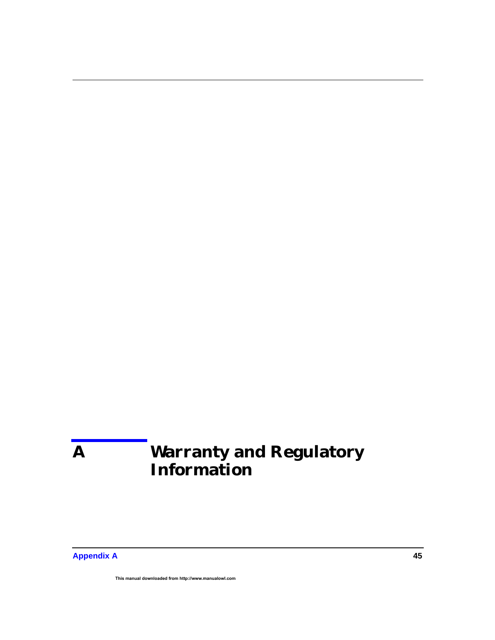# <span id="page-44-0"></span>**A Warranty and Regulatory Information**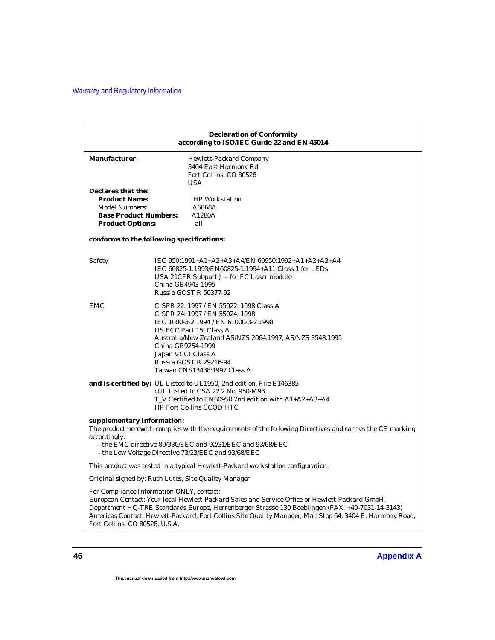| <b>Declaration of Conformity</b><br>according to ISO/IEC Guide 22 and EN 45014                                                                                                                                                                                                                                                                                                                |                                                                                                                                                                                                                                                                                                                        |  |
|-----------------------------------------------------------------------------------------------------------------------------------------------------------------------------------------------------------------------------------------------------------------------------------------------------------------------------------------------------------------------------------------------|------------------------------------------------------------------------------------------------------------------------------------------------------------------------------------------------------------------------------------------------------------------------------------------------------------------------|--|
| <b>Manufacturer:</b>                                                                                                                                                                                                                                                                                                                                                                          | <b>Hewlett-Packard Company</b><br>3404 East Harmony Rd.<br>Fort Collins. CO 80528                                                                                                                                                                                                                                      |  |
| <b>Declares that the:</b><br><b>Product Name:</b><br>Model Numbers:<br><b>Base Product Numbers:</b><br><b>Product Options:</b>                                                                                                                                                                                                                                                                | <b>USA</b><br><b>HP</b> Workstation<br>A6068A<br>A1280A<br>all                                                                                                                                                                                                                                                         |  |
|                                                                                                                                                                                                                                                                                                                                                                                               | conforms to the following specifications:                                                                                                                                                                                                                                                                              |  |
| Safety                                                                                                                                                                                                                                                                                                                                                                                        | IEC 950:1991+A1+A2+A3+A4/EN 60950:1992+A1+A2+A3+A4<br>IEC 60825-1:1993/EN60825-1:1994+A11 Class 1 for LEDs<br>USA 21CFR Subpart J – for FC Laser module<br>China GB4943-1995<br><b>Russia GOST R 50377-92</b>                                                                                                          |  |
| <b>EMC</b>                                                                                                                                                                                                                                                                                                                                                                                    | CISPR 22: 1997 / EN 55022: 1998 Class A<br>CISPR 24: 1997 / EN 55024: 1998<br>IEC 1000-3-2:1994 / EN 61000-3-2:1998<br>US FCC Part 15, Class A<br>Australia/New Zealand AS/NZS 2064:1997, AS/NZS 3548:1995<br>China GB9254-1999<br>Japan VCCI Class A<br><b>Russia GOST R 29216-94</b><br>Taiwan CNS13438:1997 Class A |  |
|                                                                                                                                                                                                                                                                                                                                                                                               | <b>and is certified by:</b> UL Listed to UL1950, 2nd edition, File E146385<br>cUL Listed to CSA 22.2 No. 950-M93<br>T V Certified to EN60950 2nd edition with A1+A2+A3+A4<br><b>HP Fort Collins CCQD HTC</b>                                                                                                           |  |
| supplementary information:<br>The product herewith complies with the requirements of the following Directives and carries the CE marking<br>accordingly:<br>- the EMC directive 89/336/EEC and 92/31/EEC and 93/68/EEC<br>- the Low Voltage Directive 73/23/EEC and 93/68/EEC                                                                                                                 |                                                                                                                                                                                                                                                                                                                        |  |
| This product was tested in a typical Hewlett-Packard workstation configuration.                                                                                                                                                                                                                                                                                                               |                                                                                                                                                                                                                                                                                                                        |  |
| Original signed by: Ruth Lutes, Site Quality Manager                                                                                                                                                                                                                                                                                                                                          |                                                                                                                                                                                                                                                                                                                        |  |
| For Compliance Information ONLY, contact:<br>European Contact: Your local Hewlett-Packard Sales and Service Office or Hewlett-Packard GmbH,<br>Department HQ-TRE Standards Europe, Herrenberger Strasse 130 Boeblingen (FAX: +49-7031-14-3143)<br>Americas Contact: Hewlett-Packard, Fort Collins Site Quality Manager, Mail Stop 64, 3404 E. Harmony Road,<br>Fort Collins, CO 80528, U.S.A. |                                                                                                                                                                                                                                                                                                                        |  |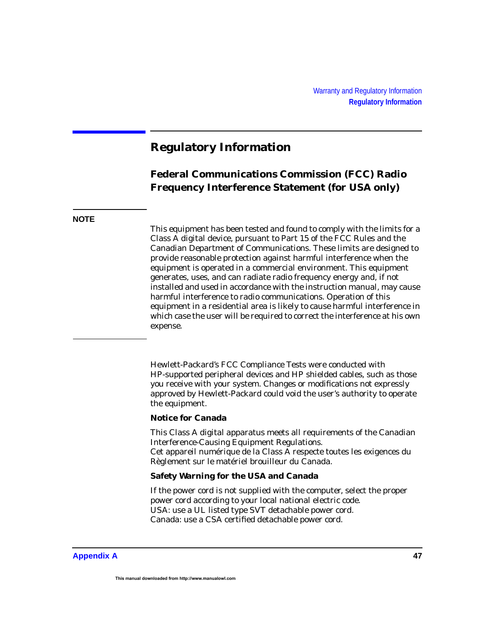# <span id="page-46-0"></span>**Regulatory Information**

# <span id="page-46-1"></span>**Federal Communications Commission (FCC) Radio Frequency Interference Statement (for USA only)**

#### **NOTE**

This equipment has been tested and found to comply with the limits for a Class A digital device, pursuant to Part 15 of the FCC Rules and the Canadian Department of Communications. These limits are designed to provide reasonable protection against harmful interference when the equipment is operated in a commercial environment. This equipment generates, uses, and can radiate radio frequency energy and, if not installed and used in accordance with the instruction manual, may cause harmful interference to radio communications. Operation of this equipment in a residential area is likely to cause harmful interference in which case the user will be required to correct the interference at his own expense.

Hewlett-Packard's FCC Compliance Tests were conducted with HP-supported peripheral devices and HP shielded cables, such as those you receive with your system. Changes or modifications not expressly approved by Hewlett-Packard could void the user's authority to operate the equipment.

#### **Notice for Canada**

This Class A digital apparatus meets all requirements of the Canadian Interference-Causing Equipment Regulations. Cet appareil numérique de la Class A respecte toutes les exigences du Règlement sur le matériel brouilleur du Canada.

#### **Safety Warning for the USA and Canada**

If the power cord is not supplied with the computer, select the proper power cord according to your local national electric code. USA: use a UL listed type SVT detachable power cord. Canada: use a CSA certified detachable power cord.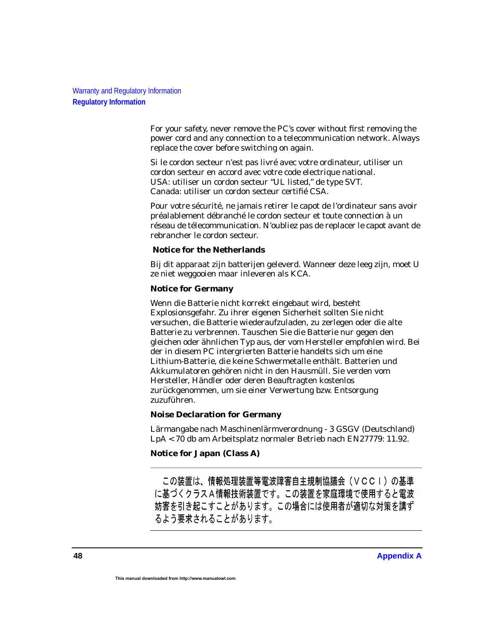For your safety, never remove the PC's cover without first removing the power cord and any connection to a telecommunication network. Always replace the cover before switching on again.

Si le cordon secteur n'est pas livré avec votre ordinateur, utiliser un cordon secteur en accord avec votre code electrique national. USA: utiliser un cordon secteur "UL listed," de type SVT. Canada: utiliser un cordon secteur certifié CSA.

Pour votre sécurité, ne jamais retirer le capot de l'ordinateur sans avoir préalablement débranché le cordon secteur et toute connection à un réseau de télecommunication. N'oubliez pas de replacer le capot avant de rebrancher le cordon secteur.

#### **Notice for the Netherlands**

Bij dit apparaat zijn batterijen geleverd. Wanneer deze leeg zijn, moet U ze niet weggooien maar inleveren als KCA.

#### **Notice for Germany**

Wenn die Batterie nicht korrekt eingebaut wird, besteht Explosionsgefahr. Zu ihrer eigenen Sicherheit sollten Sie nicht versuchen, die Batterie wiederaufzuladen, zu zerlegen oder die alte Batterie zu verbrennen. Tauschen Sie die Batterie nur gegen den gleichen oder ähnlichen Typ aus, der vom Hersteller empfohlen wird. Bei der in diesem PC intergrierten Batterie handelts sich um eine Lithium-Batterie, die keine Schwermetalle enthält. Batterien und Akkumulatoren gehören nicht in den Hausmüll. Sie verden vom Hersteller, Händler oder deren Beauftragten kostenlos zurückgenommen, um sie einer Verwertung bzw. Entsorgung zuzuführen.

#### **Noise Declaration for Germany**

Lärmangabe nach Maschinenlärmverordnung - 3 GSGV (Deutschland) LpA < 70 db am Arbeitsplatz normaler Betrieb nach EN27779: 11.92.

#### **Notice for Japan (Class A)**

この装置は、情報処理装置等電波障害自主規制協議会(VCCI)の基準 に基づくクラスA情報技術装置です。この装置を家庭環境で使用すると電波 妨害を引き起こすことがあります。この場合には使用者が適切な対策を講ず るよう要求されることがあります。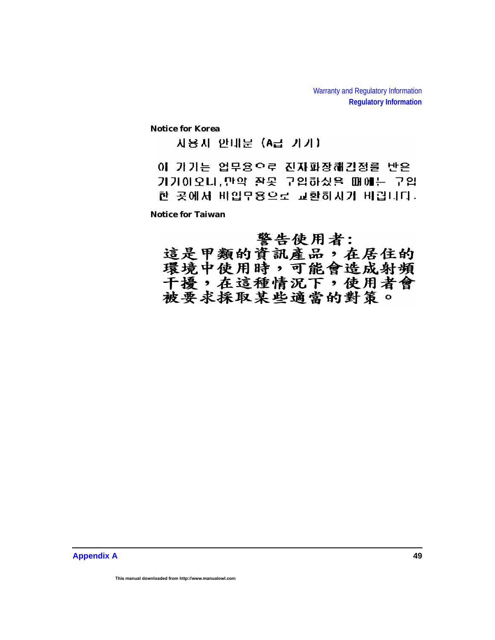**Notice for Korea**

자용자 안내문 (A급 가기)

이 가기는 업무용으로 진자파장해감정을 받은 기기아오니,만약 잘못 구입하셨을 때에는 구입 한 곳에서 비입무용으로 교환하시기 비립니다.

**Notice for Taiwan**

# 警告使用者:

這是甲類的資訊產品,在居住的環境中使用時,可能會造成射頻 被要求採取某些適當的對策。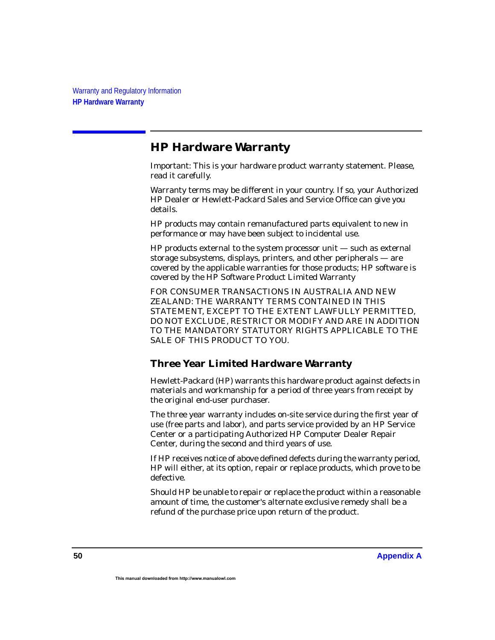# <span id="page-49-0"></span>**HP Hardware Warranty**

Important: This is your hardware product warranty statement. Please, read it carefully.

Warranty terms may be different in your country. If so, your Authorized HP Dealer or Hewlett-Packard Sales and Service Office can give you details.

HP products may contain remanufactured parts equivalent to new in performance or may have been subject to incidental use.

HP products external to the system processor unit — such as external storage subsystems, displays, printers, and other peripherals — are covered by the applicable warranties for those products; HP software is covered by the HP Software Product Limited Warranty

FOR CONSUMER TRANSACTIONS IN AUSTRALIA AND NEW ZEALAND: THE WARRANTY TERMS CONTAINED IN THIS STATEMENT, EXCEPT TO THE EXTENT LAWFULLY PERMITTED, DO NOT EXCLUDE, RESTRICT OR MODIFY AND ARE IN ADDITION TO THE MANDATORY STATUTORY RIGHTS APPLICABLE TO THE SALE OF THIS PRODUCT TO YOU.

# <span id="page-49-1"></span>**Three Year Limited Hardware Warranty**

Hewlett-Packard (HP) warrants this hardware product against defects in materials and workmanship for a period of three years from receipt by the original end-user purchaser.

The three year warranty includes on-site service during the first year of use (free parts and labor), and parts service provided by an HP Service Center or a participating Authorized HP Computer Dealer Repair Center, during the second and third years of use.

If HP receives notice of above defined defects during the warranty period, HP will either, at its option, repair or replace products, which prove to be defective.

Should HP be unable to repair or replace the product within a reasonable amount of time, the customer's alternate exclusive remedy shall be a refund of the purchase price upon return of the product.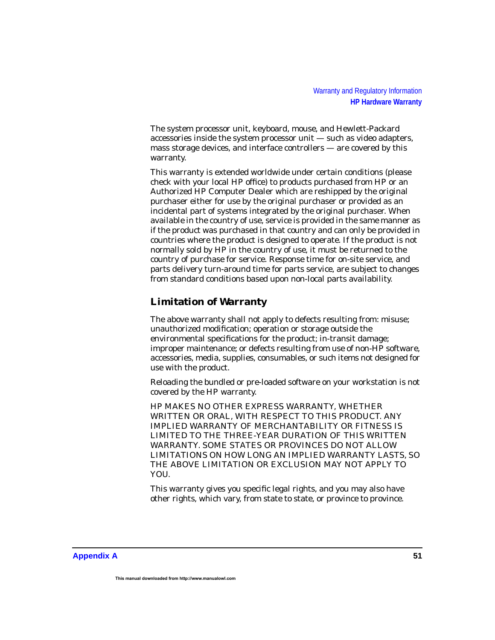The system processor unit, keyboard, mouse, and Hewlett-Packard accessories inside the system processor unit — such as video adapters, mass storage devices, and interface controllers — are covered by this warranty.

This warranty is extended worldwide under certain conditions (please check with your local HP office) to products purchased from HP or an Authorized HP Computer Dealer which are reshipped by the original purchaser either for use by the original purchaser or provided as an incidental part of systems integrated by the original purchaser. When available in the country of use, service is provided in the same manner as if the product was purchased in that country and can only be provided in countries where the product is designed to operate. If the product is not normally sold by HP in the country of use, it must be returned to the country of purchase for service. Response time for on-site service, and parts delivery turn-around time for parts service, are subject to changes from standard conditions based upon non-local parts availability.

### <span id="page-50-0"></span>**Limitation of Warranty**

The above warranty shall not apply to defects resulting from: misuse; unauthorized modification; operation or storage outside the environmental specifications for the product; in-transit damage; improper maintenance; or defects resulting from use of non-HP software, accessories, media, supplies, consumables, or such items not designed for use with the product.

Reloading the bundled or pre-loaded software on your workstation is not covered by the HP warranty.

HP MAKES NO OTHER EXPRESS WARRANTY, WHETHER WRITTEN OR ORAL, WITH RESPECT TO THIS PRODUCT. ANY IMPLIED WARRANTY OF MERCHANTABILITY OR FITNESS IS LIMITED TO THE THREE-YEAR DURATION OF THIS WRITTEN WARRANTY. SOME STATES OR PROVINCES DO NOT ALLOW LIMITATIONS ON HOW LONG AN IMPLIED WARRANTY LASTS, SO THE ABOVE LIMITATION OR EXCLUSION MAY NOT APPLY TO YOU.

This warranty gives you specific legal rights, and you may also have other rights, which vary, from state to state, or province to province.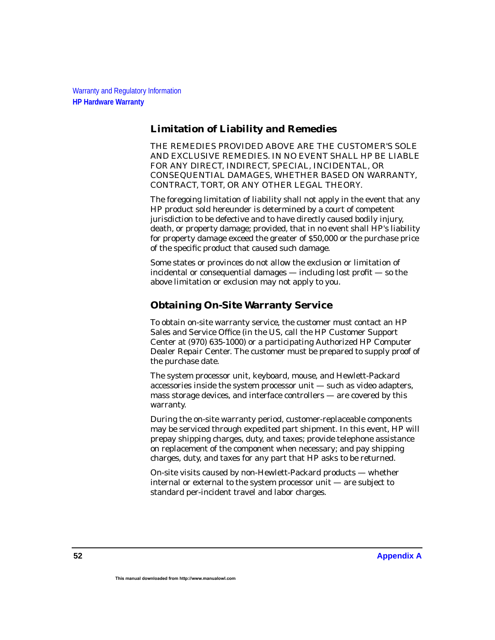# <span id="page-51-0"></span>**Limitation of Liability and Remedies**

THE REMEDIES PROVIDED ABOVE ARE THE CUSTOMER'S SOLE AND EXCLUSIVE REMEDIES. IN NO EVENT SHALL HP BE LIABLE FOR ANY DIRECT, INDIRECT, SPECIAL, INCIDENTAL, OR CONSEQUENTIAL DAMAGES, WHETHER BASED ON WARRANTY, CONTRACT, TORT, OR ANY OTHER LEGAL THEORY.

The foregoing limitation of liability shall not apply in the event that any HP product sold hereunder is determined by a court of competent jurisdiction to be defective and to have directly caused bodily injury, death, or property damage; provided, that in no event shall HP's liability for property damage exceed the greater of \$50,000 or the purchase price of the specific product that caused such damage.

Some states or provinces do not allow the exclusion or limitation of incidental or consequential damages — including lost profit — so the above limitation or exclusion may not apply to you.

### <span id="page-51-1"></span>**Obtaining On-Site Warranty Service**

To obtain on-site warranty service, the customer must contact an HP Sales and Service Office (in the US, call the HP Customer Support Center at (970) 635-1000) or a participating Authorized HP Computer Dealer Repair Center. The customer must be prepared to supply proof of the purchase date.

The system processor unit, keyboard, mouse, and Hewlett-Packard accessories inside the system processor unit — such as video adapters, mass storage devices, and interface controllers — are covered by this warranty.

During the on-site warranty period, customer-replaceable components may be serviced through expedited part shipment. In this event, HP will prepay shipping charges, duty, and taxes; provide telephone assistance on replacement of the component when necessary; and pay shipping charges, duty, and taxes for any part that HP asks to be returned.

On-site visits caused by non-Hewlett-Packard products — whether internal or external to the system processor unit — are subject to standard per-incident travel and labor charges.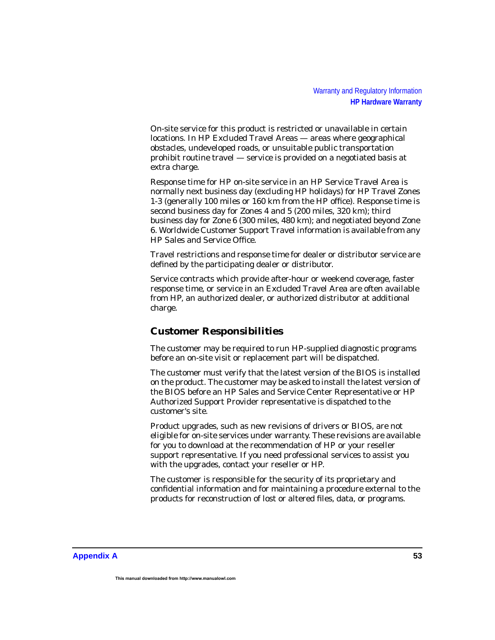On-site service for this product is restricted or unavailable in certain locations. In HP Excluded Travel Areas — areas where geographical obstacles, undeveloped roads, or unsuitable public transportation prohibit routine travel — service is provided on a negotiated basis at extra charge.

Response time for HP on-site service in an HP Service Travel Area is normally next business day (excluding HP holidays) for HP Travel Zones 1-3 (generally 100 miles or 160 km from the HP office). Response time is second business day for Zones 4 and 5 (200 miles, 320 km); third business day for Zone 6 (300 miles, 480 km); and negotiated beyond Zone 6. Worldwide Customer Support Travel information is available from any HP Sales and Service Office.

Travel restrictions and response time for dealer or distributor service are defined by the participating dealer or distributor.

Service contracts which provide after-hour or weekend coverage, faster response time, or service in an Excluded Travel Area are often available from HP, an authorized dealer, or authorized distributor at additional charge.

#### <span id="page-52-0"></span>**Customer Responsibilities**

The customer may be required to run HP-supplied diagnostic programs before an on-site visit or replacement part will be dispatched.

The customer must verify that the latest version of the BIOS is installed on the product. The customer may be asked to install the latest version of the BIOS before an HP Sales and Service Center Representative or HP Authorized Support Provider representative is dispatched to the customer's site.

Product upgrades, such as new revisions of drivers or BIOS, are not eligible for on-site services under warranty. These revisions are available for you to download at the recommendation of HP or your reseller support representative. If you need professional services to assist you with the upgrades, contact your reseller or HP.

The customer is responsible for the security of its proprietary and confidential information and for maintaining a procedure external to the products for reconstruction of lost or altered files, data, or programs.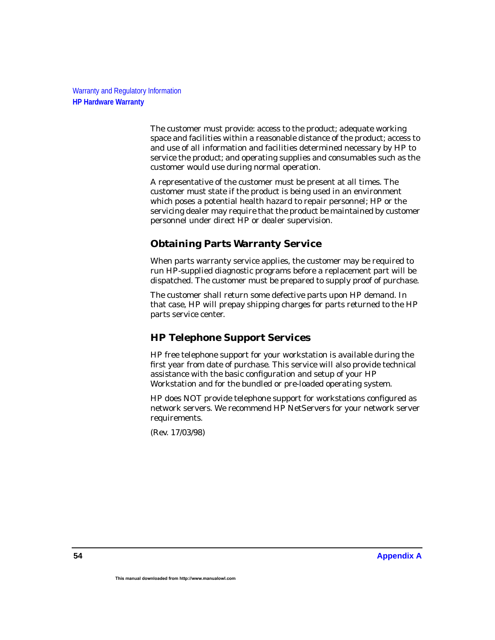The customer must provide: access to the product; adequate working space and facilities within a reasonable distance of the product; access to and use of all information and facilities determined necessary by HP to service the product; and operating supplies and consumables such as the customer would use during normal operation.

A representative of the customer must be present at all times. The customer must state if the product is being used in an environment which poses a potential health hazard to repair personnel; HP or the servicing dealer may require that the product be maintained by customer personnel under direct HP or dealer supervision.

### <span id="page-53-0"></span>**Obtaining Parts Warranty Service**

When parts warranty service applies, the customer may be required to run HP-supplied diagnostic programs before a replacement part will be dispatched. The customer must be prepared to supply proof of purchase.

The customer shall return some defective parts upon HP demand. In that case, HP will prepay shipping charges for parts returned to the HP parts service center.

# <span id="page-53-1"></span>**HP Telephone Support Services**

HP free telephone support for your workstation is available during the first year from date of purchase. This service will also provide technical assistance with the basic configuration and setup of your HP Workstation and for the bundled or pre-loaded operating system.

HP does NOT provide telephone support for workstations configured as network servers. We recommend HP NetServers for your network server requirements.

(Rev. 17/03/98)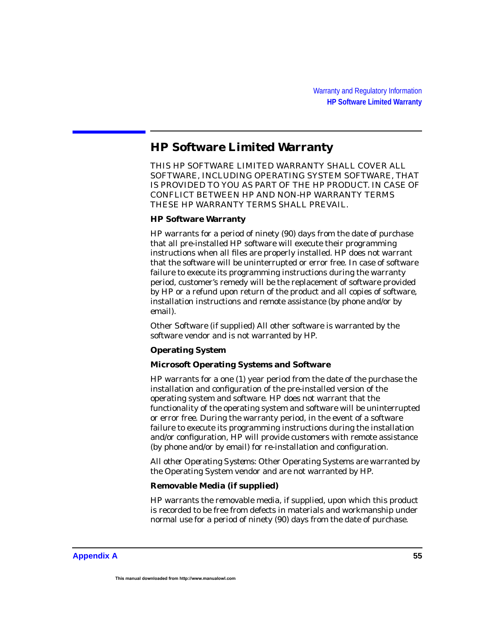# <span id="page-54-0"></span>**HP Software Limited Warranty**

THIS HP SOFTWARE LIMITED WARRANTY SHALL COVER ALL SOFTWARE, INCLUDING OPERATING SYSTEM SOFTWARE, THAT IS PROVIDED TO YOU AS PART OF THE HP PRODUCT. IN CASE OF CONFLICT BETWEEN HP AND NON-HP WARRANTY TERMS THESE HP WARRANTY TERMS SHALL PREVAIL.

#### **HP Software Warranty**

HP warrants for a period of ninety (90) days from the date of purchase that all pre-installed HP software will execute their programming instructions when all files are properly installed. HP does not warrant that the software will be uninterrupted or error free. In case of software failure to execute its programming instructions during the warranty period, customer's remedy will be the replacement of software provided by HP or a refund upon return of the product and all copies of software, installation instructions and remote assistance (by phone and/or by email).

Other Software (if supplied) All other software is warranted by the software vendor and is not warranted by HP.

#### **Operating System**

#### **Microsoft Operating Systems and Software**

HP warrants for a one (1) year period from the date of the purchase the installation and configuration of the pre-installed version of the operating system and software. HP does not warrant that the functionality of the operating system and software will be uninterrupted or error free. During the warranty period, in the event of a software failure to execute its programming instructions during the installation and/or configuration, HP will provide customers with remote assistance (by phone and/or by email) for re-installation and configuration.

*All other Operating Systems*: Other Operating Systems are warranted by the Operating System vendor and are not warranted by HP.

#### **Removable Media (if supplied)**

HP warrants the removable media, if supplied, upon which this product is recorded to be free from defects in materials and workmanship under normal use for a period of ninety (90) days from the date of purchase.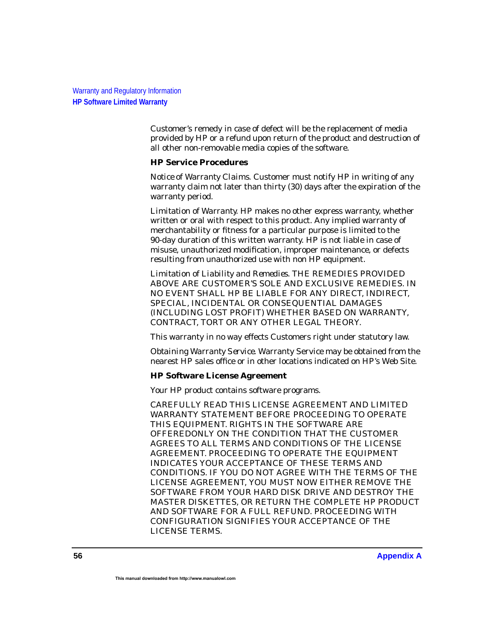Customer's remedy in case of defect will be the replacement of media provided by HP or a refund upon return of the product and destruction of all other non-removable media copies of the software.

#### **HP Service Procedures**

*Notice of Warranty Claims*. Customer must notify HP in writing of any warranty claim not later than thirty (30) days after the expiration of the warranty period.

*Limitation of Warranty*. HP makes no other express warranty, whether written or oral with respect to this product. Any implied warranty of merchantability or fitness for a particular purpose is limited to the 90-day duration of this written warranty. HP is not liable in case of misuse, unauthorized modification, improper maintenance, or defects resulting from unauthorized use with non HP equipment.

*Limitation of Liability and Remedies*. THE REMEDIES PROVIDED ABOVE ARE CUSTOMER'S SOLE AND EXCLUSIVE REMEDIES. IN NO EVENT SHALL HP BE LIABLE FOR ANY DIRECT, INDIRECT, SPECIAL, INCIDENTAL OR CONSEQUENTIAL DAMAGES (INCLUDING LOST PROFIT) WHETHER BASED ON WARRANTY, CONTRACT, TORT OR ANY OTHER LEGAL THEORY.

This warranty in no way effects Customers right under statutory law.

*Obtaining Warranty Service*. Warranty Service may be obtained from the nearest HP sales office or in other locations indicated on HP's Web Site.

#### **HP Software License Agreement**

Your HP product contains software programs.

CAREFULLY READ THIS LICENSE AGREEMENT AND LIMITED WARRANTY STATEMENT BEFORE PROCEEDING TO OPERATE THIS EQUIPMENT. RIGHTS IN THE SOFTWARE ARE OFFEREDONLY ON THE CONDITION THAT THE CUSTOMER AGREES TO ALL TERMS AND CONDITIONS OF THE LICENSE AGREEMENT. PROCEEDING TO OPERATE THE EQUIPMENT INDICATES YOUR ACCEPTANCE OF THESE TERMS AND CONDITIONS. IF YOU DO NOT AGREE WITH THE TERMS OF THE LICENSE AGREEMENT, YOU MUST NOW EITHER REMOVE THE SOFTWARE FROM YOUR HARD DISK DRIVE AND DESTROY THE MASTER DISKETTES, OR RETURN THE COMPLETE HP PRODUCT AND SOFTWARE FOR A FULL REFUND. PROCEEDING WITH CONFIGURATION SIGNIFIES YOUR ACCEPTANCE OF THE LICENSE TERMS.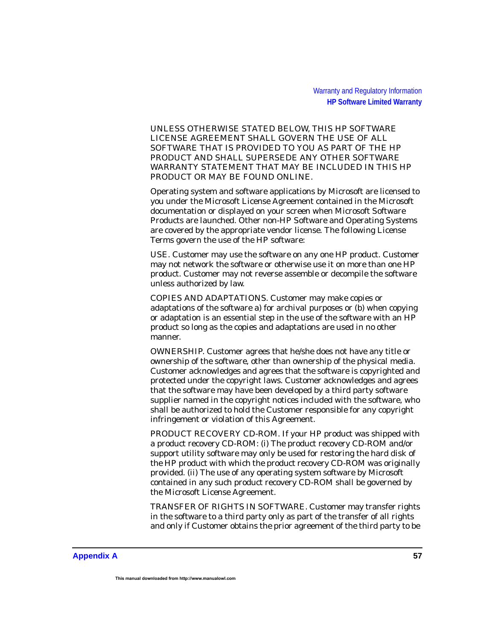UNLESS OTHERWISE STATED BELOW, THIS HP SOFTWARE LICENSE AGREEMENT SHALL GOVERN THE USE OF ALL SOFTWARE THAT IS PROVIDED TO YOU AS PART OF THE HP PRODUCT AND SHALL SUPERSEDE ANY OTHER SOFTWARE WARRANTY STATEMENT THAT MAY BE INCLUDED IN THIS HP PRODUCT OR MAY BE FOUND ONLINE.

Operating system and software applications by Microsoft are licensed to you under the Microsoft License Agreement contained in the Microsoft documentation or displayed on your screen when Microsoft Software Products are launched. Other non-HP Software and Operating Systems are covered by the appropriate vendor license. The following License Terms govern the use of the HP software:

USE. Customer may use the software on any one HP product. Customer may not network the software or otherwise use it on more than one HP product. Customer may not reverse assemble or decompile the software unless authorized by law.

COPIES AND ADAPTATIONS. Customer may make copies or adaptations of the software a) for archival purposes or (b) when copying or adaptation is an essential step in the use of the software with an HP product so long as the copies and adaptations are used in no other manner.

OWNERSHIP. Customer agrees that he/she does not have any title or ownership of the software, other than ownership of the physical media. Customer acknowledges and agrees that the software is copyrighted and protected under the copyright laws. Customer acknowledges and agrees that the software may have been developed by a third party software supplier named in the copyright notices included with the software, who shall be authorized to hold the Customer responsible for any copyright infringement or violation of this Agreement.

PRODUCT RECOVERY CD-ROM. If your HP product was shipped with a product recovery CD-ROM: (i) The product recovery CD-ROM and/or support utility software may only be used for restoring the hard disk of the HP product with which the product recovery CD-ROM was originally provided. (ii) The use of any operating system software by Microsoft contained in any such product recovery CD-ROM shall be governed by the Microsoft License Agreement.

TRANSFER OF RIGHTS IN SOFTWARE. Customer may transfer rights in the software to a third party only as part of the transfer of all rights and only if Customer obtains the prior agreement of the third party to be